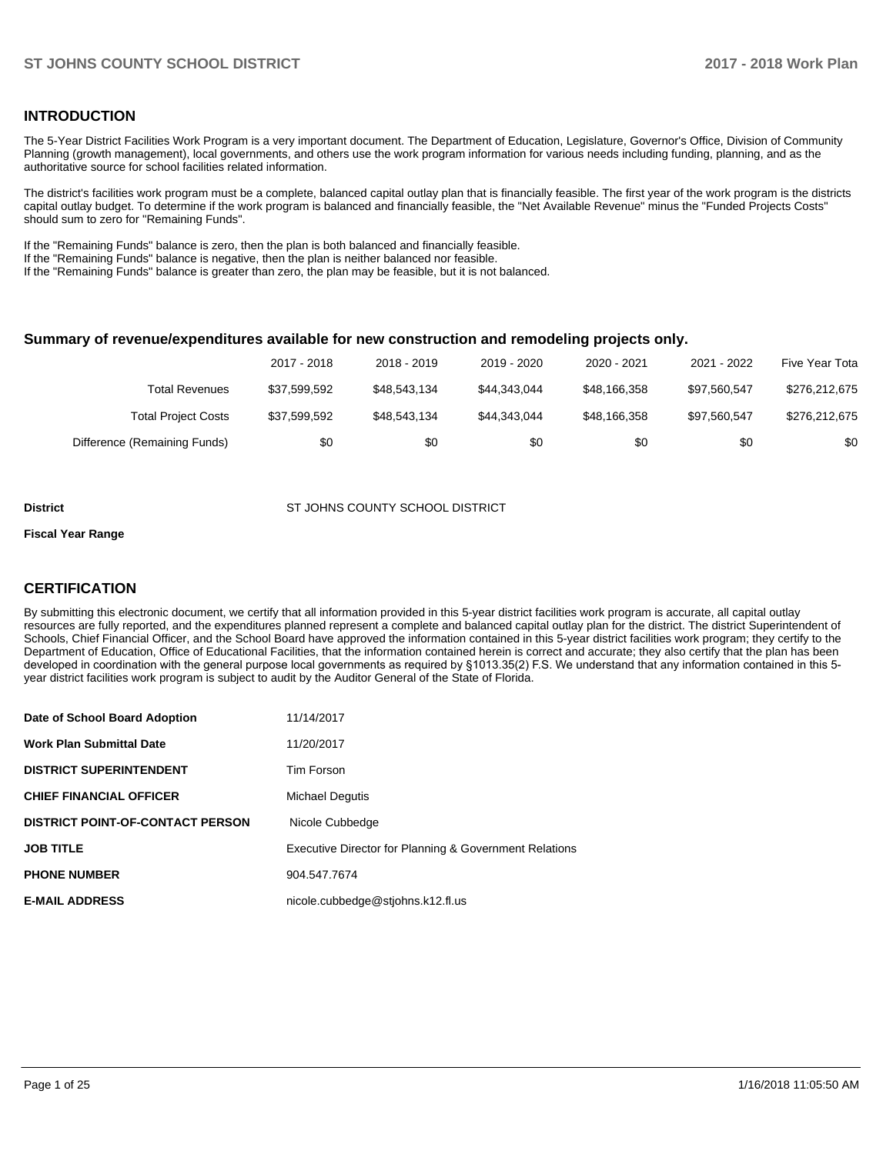### **INTRODUCTION**

The 5-Year District Facilities Work Program is a very important document. The Department of Education, Legislature, Governor's Office, Division of Community Planning (growth management), local governments, and others use the work program information for various needs including funding, planning, and as the authoritative source for school facilities related information.

The district's facilities work program must be a complete, balanced capital outlay plan that is financially feasible. The first year of the work program is the districts capital outlay budget. To determine if the work program is balanced and financially feasible, the "Net Available Revenue" minus the "Funded Projects Costs" should sum to zero for "Remaining Funds".

If the "Remaining Funds" balance is zero, then the plan is both balanced and financially feasible.

If the "Remaining Funds" balance is negative, then the plan is neither balanced nor feasible.

If the "Remaining Funds" balance is greater than zero, the plan may be feasible, but it is not balanced.

#### **Summary of revenue/expenditures available for new construction and remodeling projects only.**

|                              | 2017 - 2018  | 2018 - 2019  | 2019 - 2020  | 2020 - 2021  | 2021 - 2022  | Five Year Tota |
|------------------------------|--------------|--------------|--------------|--------------|--------------|----------------|
| Total Revenues               | \$37,599,592 | \$48.543.134 | \$44.343.044 | \$48.166.358 | \$97.560.547 | \$276,212,675  |
| <b>Total Project Costs</b>   | \$37,599,592 | \$48,543,134 | \$44.343.044 | \$48.166.358 | \$97.560.547 | \$276,212,675  |
| Difference (Remaining Funds) | \$0          | \$0          | \$0          | \$0          | \$0          | \$0            |

#### **District ST JOHNS COUNTY SCHOOL DISTRICT**

#### **Fiscal Year Range**

### **CERTIFICATION**

By submitting this electronic document, we certify that all information provided in this 5-year district facilities work program is accurate, all capital outlay resources are fully reported, and the expenditures planned represent a complete and balanced capital outlay plan for the district. The district Superintendent of Schools, Chief Financial Officer, and the School Board have approved the information contained in this 5-year district facilities work program; they certify to the Department of Education, Office of Educational Facilities, that the information contained herein is correct and accurate; they also certify that the plan has been developed in coordination with the general purpose local governments as required by §1013.35(2) F.S. We understand that any information contained in this 5year district facilities work program is subject to audit by the Auditor General of the State of Florida.

| Date of School Board Adoption           | 11/14/2017                                             |
|-----------------------------------------|--------------------------------------------------------|
| Work Plan Submittal Date                | 11/20/2017                                             |
| <b>DISTRICT SUPERINTENDENT</b>          | Tim Forson                                             |
| <b>CHIEF FINANCIAL OFFICER</b>          | <b>Michael Dequtis</b>                                 |
| <b>DISTRICT POINT-OF-CONTACT PERSON</b> | Nicole Cubbedge                                        |
| JOB TITLE                               | Executive Director for Planning & Government Relations |
| <b>PHONE NUMBER</b>                     | 904.547.7674                                           |
| <b>E-MAIL ADDRESS</b>                   | nicole.cubbedge@stjohns.k12.fl.us                      |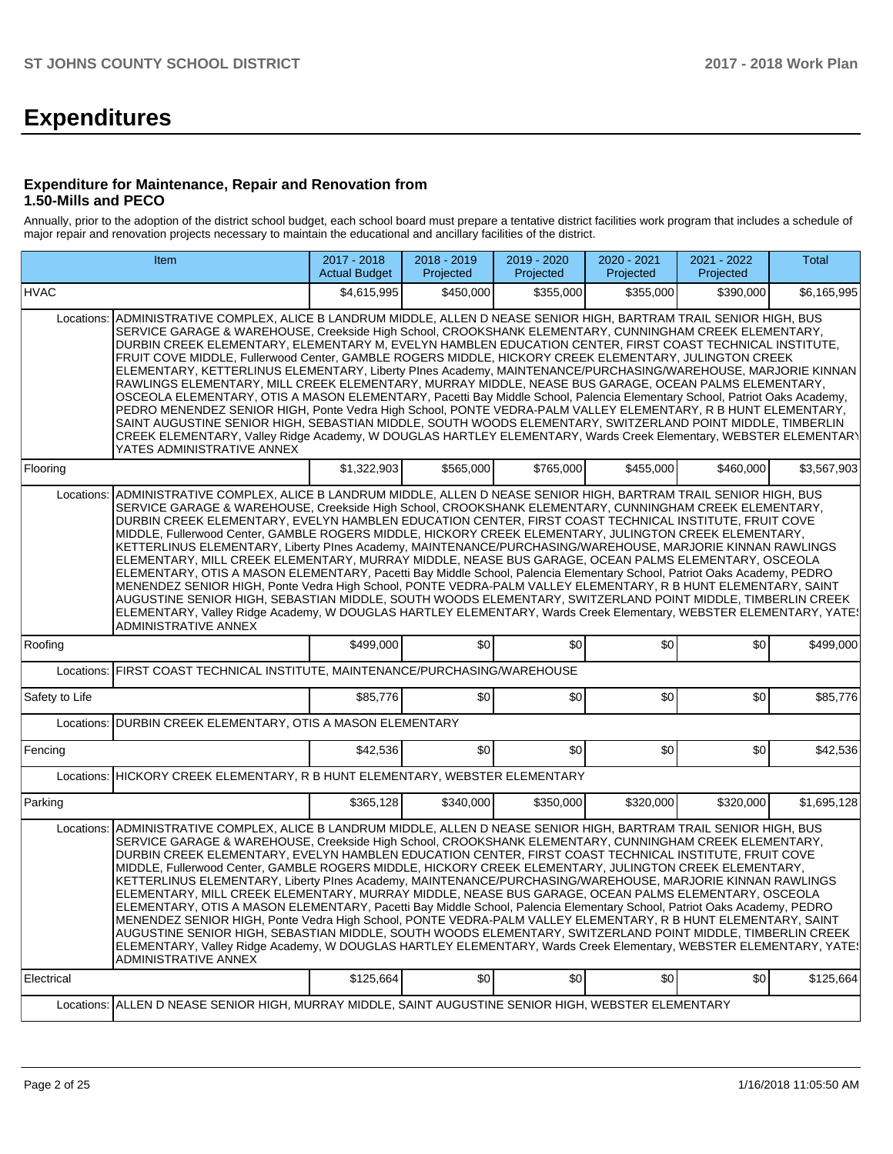# **Expenditures**

### **Expenditure for Maintenance, Repair and Renovation from 1.50-Mills and PECO**

Annually, prior to the adoption of the district school budget, each school board must prepare a tentative district facilities work program that includes a schedule of major repair and renovation projects necessary to maintain the educational and ancillary facilities of the district.

|                | Item                                                                                                                                                                                                                                                                                                                                                                                                                                                                                                                                                                                                                                                                                                                                                                                                                                                                                                                                                                                                                                                                                                                                                                                                                                                             |             | 2018 - 2019<br>Projected | 2019 - 2020<br>Projected | 2020 - 2021<br>Projected | 2021 - 2022<br>Projected | Total       |  |  |  |  |  |
|----------------|------------------------------------------------------------------------------------------------------------------------------------------------------------------------------------------------------------------------------------------------------------------------------------------------------------------------------------------------------------------------------------------------------------------------------------------------------------------------------------------------------------------------------------------------------------------------------------------------------------------------------------------------------------------------------------------------------------------------------------------------------------------------------------------------------------------------------------------------------------------------------------------------------------------------------------------------------------------------------------------------------------------------------------------------------------------------------------------------------------------------------------------------------------------------------------------------------------------------------------------------------------------|-------------|--------------------------|--------------------------|--------------------------|--------------------------|-------------|--|--|--|--|--|
| <b>HVAC</b>    |                                                                                                                                                                                                                                                                                                                                                                                                                                                                                                                                                                                                                                                                                                                                                                                                                                                                                                                                                                                                                                                                                                                                                                                                                                                                  | \$4,615,995 | \$450,000                | \$355,000                | \$355,000                | \$390,000                | \$6,165,995 |  |  |  |  |  |
| Locations:     | ADMINISTRATIVE COMPLEX, ALICE B LANDRUM MIDDLE, ALLEN D NEASE SENIOR HIGH, BARTRAM TRAIL SENIOR HIGH, BUS<br>SERVICE GARAGE & WAREHOUSE, Creekside High School, CROOKSHANK ELEMENTARY, CUNNINGHAM CREEK ELEMENTARY,<br>DURBIN CREEK ELEMENTARY, ELEMENTARY M, EVELYN HAMBLEN EDUCATION CENTER, FIRST COAST TECHNICAL INSTITUTE,<br>FRUIT COVE MIDDLE, Fullerwood Center, GAMBLE ROGERS MIDDLE, HICKORY CREEK ELEMENTARY, JULINGTON CREEK<br>ELEMENTARY, KETTERLINUS ELEMENTARY, Liberty PInes Academy, MAINTENANCE/PURCHASING/WAREHOUSE, MARJORIE KINNAN<br>RAWLINGS ELEMENTARY, MILL CREEK ELEMENTARY, MURRAY MIDDLE, NEASE BUS GARAGE, OCEAN PALMS ELEMENTARY,<br>OSCEOLA ELEMENTARY, OTIS A MASON ELEMENTARY, Pacetti Bay Middle School, Palencia Elementary School, Patriot Oaks Academy,<br>PEDRO MENENDEZ SENIOR HIGH, Ponte Vedra High School, PONTE VEDRA-PALM VALLEY ELEMENTARY, R B HUNT ELEMENTARY,<br>SAINT AUGUSTINE SENIOR HIGH, SEBASTIAN MIDDLE, SOUTH WOODS ELEMENTARY, SWITZERLAND POINT MIDDLE, TIMBERLIN<br>CREEK ELEMENTARY, Valley Ridge Academy, W DOUGLAS HARTLEY ELEMENTARY, Wards Creek Elementary, WEBSTER ELEMENTARY<br>YATES ADMINISTRATIVE ANNEX<br>\$1,322,903<br>\$565,000<br>\$765,000<br>\$455,000<br>\$460,000<br>\$3,567,903 |             |                          |                          |                          |                          |             |  |  |  |  |  |
| Flooring       |                                                                                                                                                                                                                                                                                                                                                                                                                                                                                                                                                                                                                                                                                                                                                                                                                                                                                                                                                                                                                                                                                                                                                                                                                                                                  |             |                          |                          |                          |                          |             |  |  |  |  |  |
| Locations:     | ADMINISTRATIVE COMPLEX, ALICE B LANDRUM MIDDLE, ALLEN D NEASE SENIOR HIGH, BARTRAM TRAIL SENIOR HIGH, BUS<br>SERVICE GARAGE & WAREHOUSE, Creekside High School, CROOKSHANK ELEMENTARY, CUNNINGHAM CREEK ELEMENTARY,<br>DURBIN CREEK ELEMENTARY, EVELYN HAMBLEN EDUCATION CENTER, FIRST COAST TECHNICAL INSTITUTE, FRUIT COVE<br>MIDDLE, Fullerwood Center, GAMBLE ROGERS MIDDLE, HICKORY CREEK ELEMENTARY, JULINGTON CREEK ELEMENTARY,<br>KETTERLINUS ELEMENTARY, Liberty PInes Academy, MAINTENANCE/PURCHASING/WAREHOUSE, MARJORIE KINNAN RAWLINGS<br>ELEMENTARY, MILL CREEK ELEMENTARY, MURRAY MIDDLE, NEASE BUS GARAGE, OCEAN PALMS ELEMENTARY, OSCEOLA<br>ELEMENTARY, OTIS A MASON ELEMENTARY, Pacetti Bay Middle School, Palencia Elementary School, Patriot Oaks Academy, PEDRO<br>MENENDEZ SENIOR HIGH, Ponte Vedra High School, PONTE VEDRA-PALM VALLEY ELEMENTARY, R B HUNT ELEMENTARY, SAINT<br>AUGUSTINE SENIOR HIGH, SEBASTIAN MIDDLE, SOUTH WOODS ELEMENTARY, SWITZERLAND POINT MIDDLE, TIMBERLIN CREEK<br>ELEMENTARY, Valley Ridge Academy, W DOUGLAS HARTLEY ELEMENTARY, Wards Creek Elementary, WEBSTER ELEMENTARY, YATES<br>ADMINISTRATIVE ANNEX                                                                                                |             |                          |                          |                          |                          |             |  |  |  |  |  |
| Roofing        |                                                                                                                                                                                                                                                                                                                                                                                                                                                                                                                                                                                                                                                                                                                                                                                                                                                                                                                                                                                                                                                                                                                                                                                                                                                                  | \$499,000   | \$0                      | \$0                      | \$0                      | \$0                      | \$499,000   |  |  |  |  |  |
|                | Locations: FIRST COAST TECHNICAL INSTITUTE, MAINTENANCE/PURCHASING/WAREHOUSE                                                                                                                                                                                                                                                                                                                                                                                                                                                                                                                                                                                                                                                                                                                                                                                                                                                                                                                                                                                                                                                                                                                                                                                     |             |                          |                          |                          |                          |             |  |  |  |  |  |
| Safety to Life |                                                                                                                                                                                                                                                                                                                                                                                                                                                                                                                                                                                                                                                                                                                                                                                                                                                                                                                                                                                                                                                                                                                                                                                                                                                                  | \$85,776    | \$0                      | \$0                      | \$0                      | \$0                      | \$85,776    |  |  |  |  |  |
|                | Locations: DURBIN CREEK ELEMENTARY, OTIS A MASON ELEMENTARY                                                                                                                                                                                                                                                                                                                                                                                                                                                                                                                                                                                                                                                                                                                                                                                                                                                                                                                                                                                                                                                                                                                                                                                                      |             |                          |                          |                          |                          |             |  |  |  |  |  |
| Fencing        |                                                                                                                                                                                                                                                                                                                                                                                                                                                                                                                                                                                                                                                                                                                                                                                                                                                                                                                                                                                                                                                                                                                                                                                                                                                                  | \$42,536    | \$0                      | \$0                      | \$0                      | \$0                      | \$42,536    |  |  |  |  |  |
|                | Locations: HICKORY CREEK ELEMENTARY, R B HUNT ELEMENTARY, WEBSTER ELEMENTARY                                                                                                                                                                                                                                                                                                                                                                                                                                                                                                                                                                                                                                                                                                                                                                                                                                                                                                                                                                                                                                                                                                                                                                                     |             |                          |                          |                          |                          |             |  |  |  |  |  |
| Parking        |                                                                                                                                                                                                                                                                                                                                                                                                                                                                                                                                                                                                                                                                                                                                                                                                                                                                                                                                                                                                                                                                                                                                                                                                                                                                  | \$365,128   | \$340,000                | \$350,000                | \$320,000                | \$320,000                | \$1,695,128 |  |  |  |  |  |
|                | Locations: ADMINISTRATIVE COMPLEX, ALICE B LANDRUM MIDDLE, ALLEN D NEASE SENIOR HIGH, BARTRAM TRAIL SENIOR HIGH, BUS<br>SERVICE GARAGE & WAREHOUSE, Creekside High School, CROOKSHANK ELEMENTARY, CUNNINGHAM CREEK ELEMENTARY,<br>DURBIN CREEK ELEMENTARY, EVELYN HAMBLEN EDUCATION CENTER, FIRST COAST TECHNICAL INSTITUTE, FRUIT COVE<br>MIDDLE, Fullerwood Center, GAMBLE ROGERS MIDDLE, HICKORY CREEK ELEMENTARY, JULINGTON CREEK ELEMENTARY,<br>KETTERLINUS ELEMENTARY, Liberty Plnes Academy, MAINTENANCE/PURCHASING/WAREHOUSE, MARJORIE KINNAN RAWLINGS<br>ELEMENTARY, MILL CREEK ELEMENTARY, MURRAY MIDDLE, NEASE BUS GARAGE, OCEAN PALMS ELEMENTARY, OSCEOLA<br>ELEMENTARY, OTIS A MASON ELEMENTARY, Pacetti Bay Middle School, Palencia Elementary School, Patriot Oaks Academy, PEDRO<br>MENENDEZ SENIOR HIGH, Ponte Vedra High School, PONTE VEDRA-PALM VALLEY ELEMENTARY, R B HUNT ELEMENTARY, SAINT<br>AUGUSTINE SENIOR HIGH, SEBASTIAN MIDDLE, SOUTH WOODS ELEMENTARY, SWITZERLAND POINT MIDDLE, TIMBERLIN CREEK<br>ELEMENTARY, Valley Ridge Academy, W DOUGLAS HARTLEY ELEMENTARY, Wards Creek Elementary, WEBSTER ELEMENTARY, YATE<br>ADMINISTRATIVE ANNEX                                                                                      |             |                          |                          |                          |                          |             |  |  |  |  |  |
| Electrical     |                                                                                                                                                                                                                                                                                                                                                                                                                                                                                                                                                                                                                                                                                                                                                                                                                                                                                                                                                                                                                                                                                                                                                                                                                                                                  | \$125,664   | \$0                      | \$0                      | \$0                      | \$0 <sub>1</sub>         | \$125.664   |  |  |  |  |  |
|                | Locations: ALLEN D NEASE SENIOR HIGH, MURRAY MIDDLE, SAINT AUGUSTINE SENIOR HIGH, WEBSTER ELEMENTARY                                                                                                                                                                                                                                                                                                                                                                                                                                                                                                                                                                                                                                                                                                                                                                                                                                                                                                                                                                                                                                                                                                                                                             |             |                          |                          |                          |                          |             |  |  |  |  |  |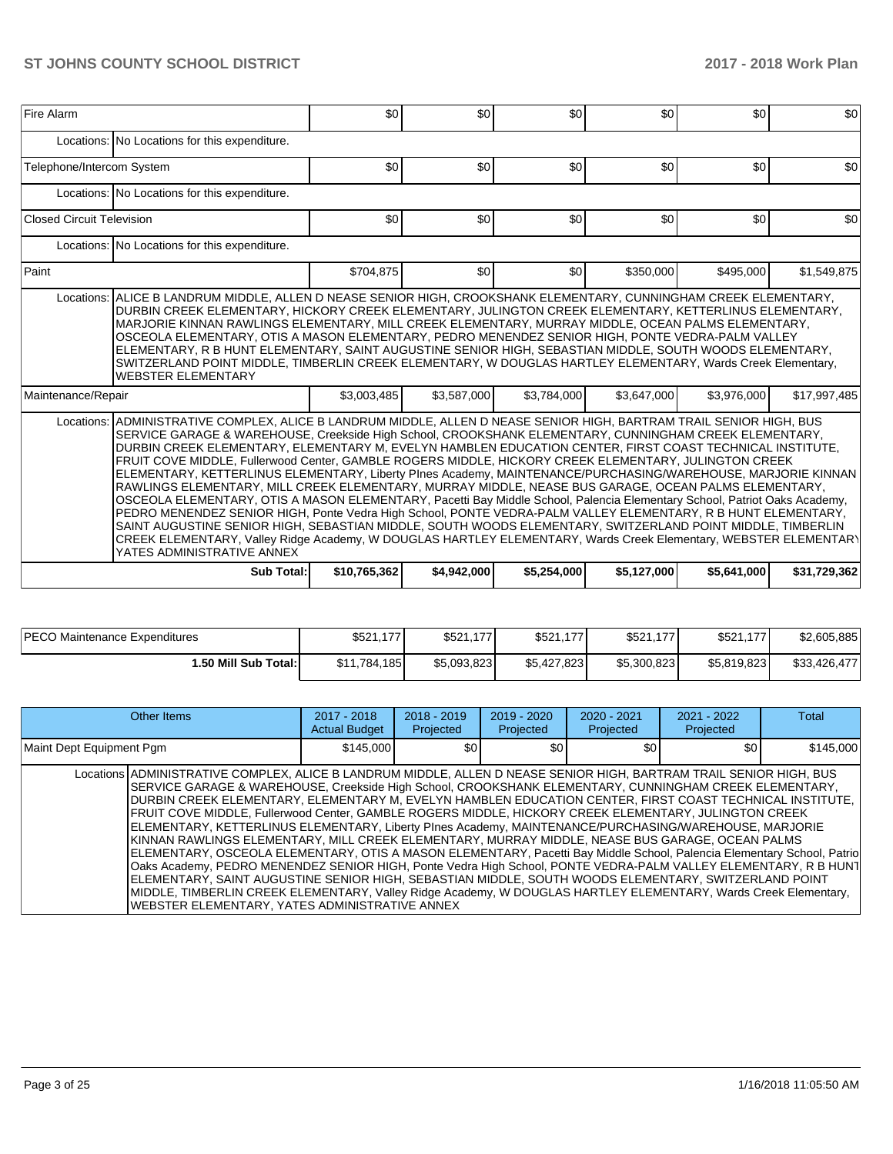| Fire Alarm                       |                                                                                                                                                                                                                                                                                                                                                                                                                                                                                                                                                                                                                                                                                                                                                                                                                                                                                                                                                                                                                                                                                                                                                                                | \$0          | \$0              | \$0         | \$0         | \$0         | \$0          |  |  |  |  |
|----------------------------------|--------------------------------------------------------------------------------------------------------------------------------------------------------------------------------------------------------------------------------------------------------------------------------------------------------------------------------------------------------------------------------------------------------------------------------------------------------------------------------------------------------------------------------------------------------------------------------------------------------------------------------------------------------------------------------------------------------------------------------------------------------------------------------------------------------------------------------------------------------------------------------------------------------------------------------------------------------------------------------------------------------------------------------------------------------------------------------------------------------------------------------------------------------------------------------|--------------|------------------|-------------|-------------|-------------|--------------|--|--|--|--|
|                                  | Locations: No Locations for this expenditure.                                                                                                                                                                                                                                                                                                                                                                                                                                                                                                                                                                                                                                                                                                                                                                                                                                                                                                                                                                                                                                                                                                                                  |              |                  |             |             |             |              |  |  |  |  |
| Telephone/Intercom System        |                                                                                                                                                                                                                                                                                                                                                                                                                                                                                                                                                                                                                                                                                                                                                                                                                                                                                                                                                                                                                                                                                                                                                                                | \$0          | \$0              | \$0         | \$0         | \$0         | \$0          |  |  |  |  |
|                                  | Locations: No Locations for this expenditure.                                                                                                                                                                                                                                                                                                                                                                                                                                                                                                                                                                                                                                                                                                                                                                                                                                                                                                                                                                                                                                                                                                                                  |              |                  |             |             |             |              |  |  |  |  |
| <b>Closed Circuit Television</b> |                                                                                                                                                                                                                                                                                                                                                                                                                                                                                                                                                                                                                                                                                                                                                                                                                                                                                                                                                                                                                                                                                                                                                                                | \$0          | \$0              | \$0         | \$0         | \$0         | \$0          |  |  |  |  |
|                                  | Locations: No Locations for this expenditure.                                                                                                                                                                                                                                                                                                                                                                                                                                                                                                                                                                                                                                                                                                                                                                                                                                                                                                                                                                                                                                                                                                                                  |              |                  |             |             |             |              |  |  |  |  |
| Paint                            |                                                                                                                                                                                                                                                                                                                                                                                                                                                                                                                                                                                                                                                                                                                                                                                                                                                                                                                                                                                                                                                                                                                                                                                | \$704.875    | \$0 <sub>1</sub> | \$0         | \$350,000   | \$495.000   | \$1,549,875  |  |  |  |  |
| Locations:<br>Maintenance/Repair | ALICE B LANDRUM MIDDLE, ALLEN D NEASE SENIOR HIGH, CROOKSHANK ELEMENTARY, CUNNINGHAM CREEK ELEMENTARY,<br>DURBIN CREEK ELEMENTARY, HICKORY CREEK ELEMENTARY, JULINGTON CREEK ELEMENTARY, KETTERLINUS ELEMENTARY,<br>MARJORIE KINNAN RAWLINGS ELEMENTARY, MILL CREEK ELEMENTARY, MURRAY MIDDLE, OCEAN PALMS ELEMENTARY,<br>OSCEOLA ELEMENTARY, OTIS A MASON ELEMENTARY, PEDRO MENENDEZ SENIOR HIGH, PONTE VEDRA-PALM VALLEY<br>ELEMENTARY, R B HUNT ELEMENTARY, SAINT AUGUSTINE SENIOR HIGH, SEBASTIAN MIDDLE, SOUTH WOODS ELEMENTARY,<br>SWITZERLAND POINT MIDDLE, TIMBERLIN CREEK ELEMENTARY, W DOUGLAS HARTLEY ELEMENTARY, Wards Creek Elementary,<br><b>WEBSTER ELEMENTARY</b>                                                                                                                                                                                                                                                                                                                                                                                                                                                                                              |              |                  |             |             |             |              |  |  |  |  |
| Locations:                       | ADMINISTRATIVE COMPLEX, ALICE B LANDRUM MIDDLE, ALLEN D NEASE SENIOR HIGH, BARTRAM TRAIL SENIOR HIGH, BUS<br>SERVICE GARAGE & WAREHOUSE, Creekside High School, CROOKSHANK ELEMENTARY, CUNNINGHAM CREEK ELEMENTARY,<br>DURBIN CREEK ELEMENTARY, ELEMENTARY M, EVELYN HAMBLEN EDUCATION CENTER, FIRST COAST TECHNICAL INSTITUTE,<br>FRUIT COVE MIDDLE, Fullerwood Center, GAMBLE ROGERS MIDDLE, HICKORY CREEK ELEMENTARY, JULINGTON CREEK<br>ELEMENTARY, KETTERLINUS ELEMENTARY, Liberty Plnes Academy, MAINTENANCE/PURCHASING/WAREHOUSE, MARJORIE KINNAN<br>RAWLINGS ELEMENTARY, MILL CREEK ELEMENTARY, MURRAY MIDDLE, NEASE BUS GARAGE, OCEAN PALMS ELEMENTARY,<br>OSCEOLA ELEMENTARY, OTIS A MASON ELEMENTARY, Pacetti Bay Middle School, Palencia Elementary School, Patriot Oaks Academy,<br>PEDRO MENENDEZ SENIOR HIGH, Ponte Vedra High School, PONTE VEDRA-PALM VALLEY ELEMENTARY, R B HUNT ELEMENTARY,<br>SAINT AUGUSTINE SENIOR HIGH, SEBASTIAN MIDDLE, SOUTH WOODS ELEMENTARY, SWITZERLAND POINT MIDDLE, TIMBERLIN<br>CREEK ELEMENTARY, Valley Ridge Academy, W DOUGLAS HARTLEY ELEMENTARY, Wards Creek Elementary, WEBSTER ELEMENTARY<br>YATES ADMINISTRATIVE ANNEX | \$3,003,485  | \$3,587,000      | \$3,784,000 | \$3,647,000 | \$3,976,000 | \$17,997,485 |  |  |  |  |
|                                  | Sub Total:                                                                                                                                                                                                                                                                                                                                                                                                                                                                                                                                                                                                                                                                                                                                                                                                                                                                                                                                                                                                                                                                                                                                                                     | \$10,765,362 | \$4,942,000      | \$5,254,000 | \$5,127,000 | \$5,641,000 | \$31,729,362 |  |  |  |  |

| <b>PECO Maintenance Expenditures</b> | \$521,1<br>177 | \$521.7<br>177 | \$521,177   | \$521,177<br>1771 | \$521,17<br>4771 | \$2,605,885  |
|--------------------------------------|----------------|----------------|-------------|-------------------|------------------|--------------|
| 1.50 Mill Sub Total:                 | \$11.784.185   | \$5.093.823    | \$5,427,823 | \$5,300,823       | \$5,819,823      | \$33,426,477 |

| Other Items                                                                                                                                                                                                                                                                                                                                                                                                                                                                                                                                                                                                                                                                                                                                                                                                                                                                                                                                                                                                                                                                                                                                                                              | 2017 - 2018<br><b>Actual Budget</b> | $2018 - 2019$<br>Projected | $2019 - 2020$<br>Projected |     | $2020 - 2021$<br>Projected | $2021 - 2022$<br>Projected | Total     |
|------------------------------------------------------------------------------------------------------------------------------------------------------------------------------------------------------------------------------------------------------------------------------------------------------------------------------------------------------------------------------------------------------------------------------------------------------------------------------------------------------------------------------------------------------------------------------------------------------------------------------------------------------------------------------------------------------------------------------------------------------------------------------------------------------------------------------------------------------------------------------------------------------------------------------------------------------------------------------------------------------------------------------------------------------------------------------------------------------------------------------------------------------------------------------------------|-------------------------------------|----------------------------|----------------------------|-----|----------------------------|----------------------------|-----------|
| Maint Dept Equipment Pgm                                                                                                                                                                                                                                                                                                                                                                                                                                                                                                                                                                                                                                                                                                                                                                                                                                                                                                                                                                                                                                                                                                                                                                 | \$145,000                           |                            | \$0                        | \$0 | \$0                        | \$0                        | \$145,000 |
| Locations ADMINISTRATIVE COMPLEX, ALICE B LANDRUM MIDDLE, ALLEN D NEASE SENIOR HIGH, BARTRAM TRAIL SENIOR HIGH, BUS<br>SERVICE GARAGE & WAREHOUSE, Creekside High School, CROOKSHANK ELEMENTARY, CUNNINGHAM CREEK ELEMENTARY,<br>DURBIN CREEK ELEMENTARY, ELEMENTARY M, EVELYN HAMBLEN EDUCATION CENTER, FIRST COAST TECHNICAL INSTITUTE,<br>FRUIT COVE MIDDLE, Fullerwood Center, GAMBLE ROGERS MIDDLE, HICKORY CREEK ELEMENTARY, JULINGTON CREEK<br>ELEMENTARY, KETTERLINUS ELEMENTARY, Liberty PInes Academy, MAINTENANCE/PURCHASING/WAREHOUSE, MARJORIE<br>KINNAN RAWLINGS ELEMENTARY, MILL CREEK ELEMENTARY, MURRAY MIDDLE, NEASE BUS GARAGE, OCEAN PALMS<br>ELEMENTARY, OSCEOLA ELEMENTARY, OTIS A MASON ELEMENTARY, Pacetti Bay Middle School, Palencia Elementary School, Patrio<br>Oaks Academy, PEDRO MENENDEZ SENIOR HIGH, Ponte Vedra High School, PONTE VEDRA-PALM VALLEY ELEMENTARY, R B HUNT<br>ELEMENTARY, SAINT AUGUSTINE SENIOR HIGH, SEBASTIAN MIDDLE, SOUTH WOODS ELEMENTARY, SWITZERLAND POINT<br>MIDDLE, TIMBERLIN CREEK ELEMENTARY, Valley Ridge Academy, W DOUGLAS HARTLEY ELEMENTARY, Wards Creek Elementary,<br>WEBSTER ELEMENTARY, YATES ADMINISTRATIVE ANNEX |                                     |                            |                            |     |                            |                            |           |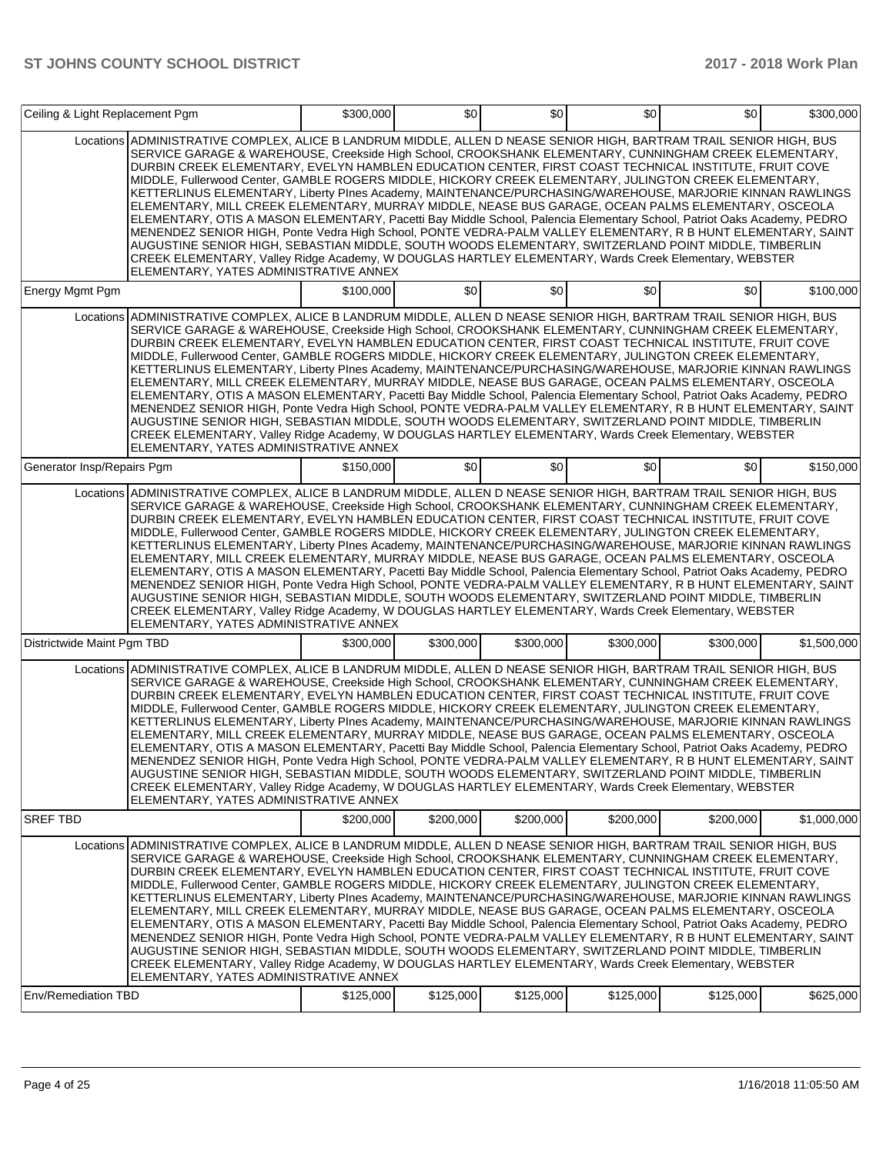| Ceiling & Light Replacement Pgm |                                                                                                                                                                                                                                                                                                                                                                                                                                                                                                                                                                                                                                                                                                                                                                                                                                                                                                                                                                                                                                                                                                                                                                             | \$300,000 | \$0       | \$0       | \$0       | \$0       | \$300,000   |
|---------------------------------|-----------------------------------------------------------------------------------------------------------------------------------------------------------------------------------------------------------------------------------------------------------------------------------------------------------------------------------------------------------------------------------------------------------------------------------------------------------------------------------------------------------------------------------------------------------------------------------------------------------------------------------------------------------------------------------------------------------------------------------------------------------------------------------------------------------------------------------------------------------------------------------------------------------------------------------------------------------------------------------------------------------------------------------------------------------------------------------------------------------------------------------------------------------------------------|-----------|-----------|-----------|-----------|-----------|-------------|
|                                 | Locations ADMINISTRATIVE COMPLEX, ALICE B LANDRUM MIDDLE, ALLEN D NEASE SENIOR HIGH, BARTRAM TRAIL SENIOR HIGH, BUS<br>SERVICE GARAGE & WAREHOUSE, Creekside High School, CROOKSHANK ELEMENTARY, CUNNINGHAM CREEK ELEMENTARY,<br>DURBIN CREEK ELEMENTARY, EVELYN HAMBLEN EDUCATION CENTER, FIRST COAST TECHNICAL INSTITUTE, FRUIT COVE<br>MIDDLE, Fullerwood Center, GAMBLE ROGERS MIDDLE, HICKORY CREEK ELEMENTARY, JULINGTON CREEK ELEMENTARY,<br>KETTERLINUS ELEMENTARY, Liberty PInes Academy, MAINTENANCE/PURCHASING/WAREHOUSE, MARJORIE KINNAN RAWLINGS<br>ELEMENTARY, MILL CREEK ELEMENTARY, MURRAY MIDDLE, NEASE BUS GARAGE, OCEAN PALMS ELEMENTARY, OSCEOLA<br>ELEMENTARY, OTIS A MASON ELEMENTARY, Pacetti Bay Middle School, Palencia Elementary School, Patriot Oaks Academy, PEDRO<br>MENENDEZ SENIOR HIGH, Ponte Vedra High School, PONTE VEDRA-PALM VALLEY ELEMENTARY, R B HUNT ELEMENTARY, SAINT<br>AUGUSTINE SENIOR HIGH, SEBASTIAN MIDDLE, SOUTH WOODS ELEMENTARY, SWITZERLAND POINT MIDDLE, TIMBERLIN<br>CREEK ELEMENTARY, Valley Ridge Academy, W DOUGLAS HARTLEY ELEMENTARY, Wards Creek Elementary, WEBSTER<br>ELEMENTARY, YATES ADMINISTRATIVE ANNEX |           |           |           |           |           |             |
| Energy Mgmt Pgm                 |                                                                                                                                                                                                                                                                                                                                                                                                                                                                                                                                                                                                                                                                                                                                                                                                                                                                                                                                                                                                                                                                                                                                                                             | \$100,000 | \$0       | \$0       | \$0       | \$0       | \$100.000   |
|                                 | Locations ADMINISTRATIVE COMPLEX, ALICE B LANDRUM MIDDLE, ALLEN D NEASE SENIOR HIGH, BARTRAM TRAIL SENIOR HIGH, BUS<br>SERVICE GARAGE & WAREHOUSE, Creekside High School, CROOKSHANK ELEMENTARY, CUNNINGHAM CREEK ELEMENTARY,<br>DURBIN CREEK ELEMENTARY, EVELYN HAMBLEN EDUCATION CENTER, FIRST COAST TECHNICAL INSTITUTE, FRUIT COVE<br>MIDDLE, Fullerwood Center, GAMBLE ROGERS MIDDLE, HICKORY CREEK ELEMENTARY, JULINGTON CREEK ELEMENTARY,<br>KETTERLINUS ELEMENTARY, Liberty PInes Academy, MAINTENANCE/PURCHASING/WAREHOUSE, MARJORIE KINNAN RAWLINGS<br>ELEMENTARY, MILL CREEK ELEMENTARY, MURRAY MIDDLE, NEASE BUS GARAGE, OCEAN PALMS ELEMENTARY, OSCEOLA<br>ELEMENTARY, OTIS A MASON ELEMENTARY, Pacetti Bay Middle School, Palencia Elementary School, Patriot Oaks Academy, PEDRO<br>MENENDEZ SENIOR HIGH, Ponte Vedra High School, PONTE VEDRA-PALM VALLEY ELEMENTARY, R B HUNT ELEMENTARY, SAINT<br>AUGUSTINE SENIOR HIGH, SEBASTIAN MIDDLE, SOUTH WOODS ELEMENTARY, SWITZERLAND POINT MIDDLE, TIMBERLIN<br>CREEK ELEMENTARY, Valley Ridge Academy, W DOUGLAS HARTLEY ELEMENTARY, Wards Creek Elementary, WEBSTER<br>ELEMENTARY, YATES ADMINISTRATIVE ANNEX |           |           |           |           |           |             |
| Generator Insp/Repairs Pgm      |                                                                                                                                                                                                                                                                                                                                                                                                                                                                                                                                                                                                                                                                                                                                                                                                                                                                                                                                                                                                                                                                                                                                                                             | \$150,000 | \$0       | \$0       | \$0       | \$0       | \$150,000   |
|                                 | Locations ADMINISTRATIVE COMPLEX, ALICE B LANDRUM MIDDLE, ALLEN D NEASE SENIOR HIGH, BARTRAM TRAIL SENIOR HIGH, BUS<br>SERVICE GARAGE & WAREHOUSE, Creekside High School, CROOKSHANK ELEMENTARY, CUNNINGHAM CREEK ELEMENTARY,<br>DURBIN CREEK ELEMENTARY, EVELYN HAMBLEN EDUCATION CENTER, FIRST COAST TECHNICAL INSTITUTE, FRUIT COVE<br>MIDDLE, Fullerwood Center, GAMBLE ROGERS MIDDLE, HICKORY CREEK ELEMENTARY, JULINGTON CREEK ELEMENTARY,<br>KETTERLINUS ELEMENTARY, Liberty PInes Academy, MAINTENANCE/PURCHASING/WAREHOUSE, MARJORIE KINNAN RAWLINGS<br>ELEMENTARY, MILL CREEK ELEMENTARY, MURRAY MIDDLE, NEASE BUS GARAGE, OCEAN PALMS ELEMENTARY, OSCEOLA<br>ELEMENTARY, OTIS A MASON ELEMENTARY, Pacetti Bay Middle School, Palencia Elementary School, Patriot Oaks Academy, PEDRO<br>MENENDEZ SENIOR HIGH, Ponte Vedra High School, PONTE VEDRA-PALM VALLEY ELEMENTARY, R B HUNT ELEMENTARY, SAINT<br>AUGUSTINE SENIOR HIGH, SEBASTIAN MIDDLE, SOUTH WOODS ELEMENTARY, SWITZERLAND POINT MIDDLE, TIMBERLIN<br>CREEK ELEMENTARY, Valley Ridge Academy, W DOUGLAS HARTLEY ELEMENTARY, Wards Creek Elementary, WEBSTER<br>ELEMENTARY, YATES ADMINISTRATIVE ANNEX |           |           |           |           |           |             |
| Districtwide Maint Pgm TBD      |                                                                                                                                                                                                                                                                                                                                                                                                                                                                                                                                                                                                                                                                                                                                                                                                                                                                                                                                                                                                                                                                                                                                                                             | \$300,000 | \$300,000 | \$300,000 | \$300,000 | \$300,000 | \$1,500,000 |
|                                 | Locations ADMINISTRATIVE COMPLEX, ALICE B LANDRUM MIDDLE, ALLEN D NEASE SENIOR HIGH, BARTRAM TRAIL SENIOR HIGH, BUS<br>SERVICE GARAGE & WAREHOUSE, Creekside High School, CROOKSHANK ELEMENTARY, CUNNINGHAM CREEK ELEMENTARY,<br>DURBIN CREEK ELEMENTARY, EVELYN HAMBLEN EDUCATION CENTER, FIRST COAST TECHNICAL INSTITUTE, FRUIT COVE<br>MIDDLE, Fullerwood Center, GAMBLE ROGERS MIDDLE, HICKORY CREEK ELEMENTARY, JULINGTON CREEK ELEMENTARY,<br>KETTERLINUS ELEMENTARY, Liberty PInes Academy, MAINTENANCE/PURCHASING/WAREHOUSE, MARJORIE KINNAN RAWLINGS<br>ELEMENTARY, MILL CREEK ELEMENTARY, MURRAY MIDDLE, NEASE BUS GARAGE, OCEAN PALMS ELEMENTARY, OSCEOLA<br>ELEMENTARY, OTIS A MASON ELEMENTARY, Pacetti Bay Middle School, Palencia Elementary School, Patriot Oaks Academy, PEDRO<br>MENENDEZ SENIOR HIGH, Ponte Vedra High School, PONTE VEDRA-PALM VALLEY ELEMENTARY, R B HUNT ELEMENTARY, SAINT<br>AUGUSTINE SENIOR HIGH, SEBASTIAN MIDDLE, SOUTH WOODS ELEMENTARY, SWITZERLAND POINT MIDDLE, TIMBERLIN<br>CREEK ELEMENTARY, Valley Ridge Academy, W DOUGLAS HARTLEY ELEMENTARY, Wards Creek Elementary, WEBSTER<br>ELEMENTARY, YATES ADMINISTRATIVE ANNEX |           |           |           |           |           |             |
| <b>SREF TBD</b>                 |                                                                                                                                                                                                                                                                                                                                                                                                                                                                                                                                                                                                                                                                                                                                                                                                                                                                                                                                                                                                                                                                                                                                                                             | \$200,000 | \$200,000 | \$200,000 | \$200,000 | \$200,000 | \$1,000,000 |
|                                 | Locations ADMINISTRATIVE COMPLEX, ALICE B LANDRUM MIDDLE, ALLEN D NEASE SENIOR HIGH, BARTRAM TRAIL SENIOR HIGH, BUS<br>SERVICE GARAGE & WAREHOUSE, Creekside High School, CROOKSHANK ELEMENTARY, CUNNINGHAM CREEK ELEMENTARY,<br>DURBIN CREEK ELEMENTARY, EVELYN HAMBLEN EDUCATION CENTER, FIRST COAST TECHNICAL INSTITUTE, FRUIT COVE<br>MIDDLE, Fullerwood Center, GAMBLE ROGERS MIDDLE, HICKORY CREEK ELEMENTARY, JULINGTON CREEK ELEMENTARY,<br>KETTERLINUS ELEMENTARY, Liberty PInes Academy, MAINTENANCE/PURCHASING/WAREHOUSE, MARJORIE KINNAN RAWLINGS<br>ELEMENTARY, MILL CREEK ELEMENTARY, MURRAY MIDDLE, NEASE BUS GARAGE, OCEAN PALMS ELEMENTARY, OSCEOLA<br>ELEMENTARY, OTIS A MASON ELEMENTARY, Pacetti Bay Middle School, Palencia Elementary School, Patriot Oaks Academy, PEDRO<br>MENENDEZ SENIOR HIGH, Ponte Vedra High School, PONTE VEDRA-PALM VALLEY ELEMENTARY, R B HUNT ELEMENTARY, SAINT<br>AUGUSTINE SENIOR HIGH, SEBASTIAN MIDDLE, SOUTH WOODS ELEMENTARY, SWITZERLAND POINT MIDDLE, TIMBERLIN<br>CREEK ELEMENTARY, Valley Ridge Academy, W DOUGLAS HARTLEY ELEMENTARY, Wards Creek Elementary, WEBSTER<br>ELEMENTARY, YATES ADMINISTRATIVE ANNEX |           |           |           |           |           |             |
| Env/Remediation TBD             |                                                                                                                                                                                                                                                                                                                                                                                                                                                                                                                                                                                                                                                                                                                                                                                                                                                                                                                                                                                                                                                                                                                                                                             | \$125,000 | \$125,000 | \$125,000 | \$125,000 | \$125,000 | \$625,000   |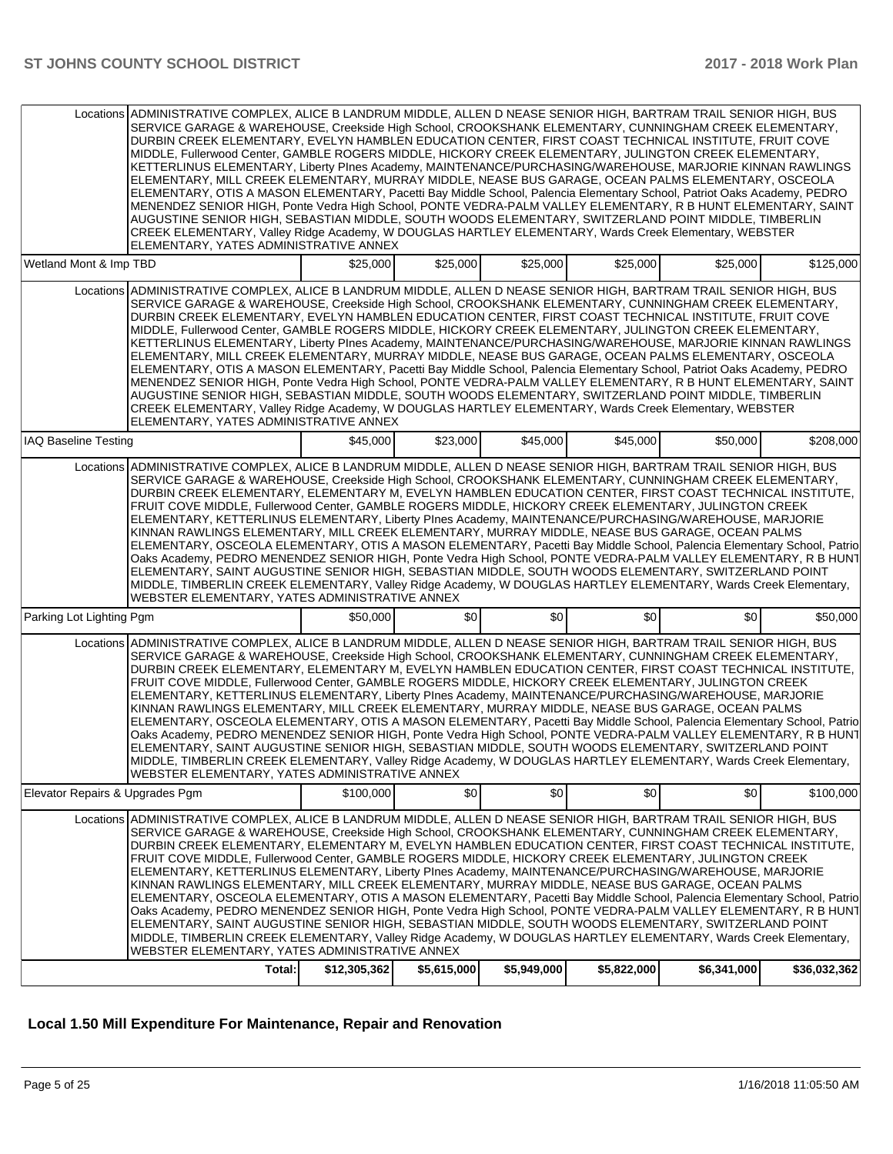|                                 | Locations ADMINISTRATIVE COMPLEX, ALICE B LANDRUM MIDDLE, ALLEN D NEASE SENIOR HIGH, BARTRAM TRAIL SENIOR HIGH, BUS<br>SERVICE GARAGE & WAREHOUSE, Creekside High School, CROOKSHANK ELEMENTARY, CUNNINGHAM CREEK ELEMENTARY,<br>DURBIN CREEK ELEMENTARY, EVELYN HAMBLEN EDUCATION CENTER, FIRST COAST TECHNICAL INSTITUTE, FRUIT COVE<br>MIDDLE, Fullerwood Center, GAMBLE ROGERS MIDDLE, HICKORY CREEK ELEMENTARY, JULINGTON CREEK ELEMENTARY,<br>KETTERLINUS ELEMENTARY, Liberty PInes Academy, MAINTENANCE/PURCHASING/WAREHOUSE, MARJORIE KINNAN RAWLINGS<br>ELEMENTARY, MILL CREEK ELEMENTARY, MURRAY MIDDLE, NEASE BUS GARAGE, OCEAN PALMS ELEMENTARY, OSCEOLA<br>ELEMENTARY, OTIS A MASON ELEMENTARY, Pacetti Bay Middle School, Palencia Elementary School, Patriot Oaks Academy, PEDRO<br>MENENDEZ SENIOR HIGH, Ponte Vedra High School, PONTE VEDRA-PALM VALLEY ELEMENTARY, R B HUNT ELEMENTARY, SAINT<br>AUGUSTINE SENIOR HIGH, SEBASTIAN MIDDLE, SOUTH WOODS ELEMENTARY, SWITZERLAND POINT MIDDLE, TIMBERLIN<br>CREEK ELEMENTARY, Valley Ridge Academy, W DOUGLAS HARTLEY ELEMENTARY, Wards Creek Elementary, WEBSTER<br>ELEMENTARY, YATES ADMINISTRATIVE ANNEX              |              |                  |             |             |             |              |
|---------------------------------|------------------------------------------------------------------------------------------------------------------------------------------------------------------------------------------------------------------------------------------------------------------------------------------------------------------------------------------------------------------------------------------------------------------------------------------------------------------------------------------------------------------------------------------------------------------------------------------------------------------------------------------------------------------------------------------------------------------------------------------------------------------------------------------------------------------------------------------------------------------------------------------------------------------------------------------------------------------------------------------------------------------------------------------------------------------------------------------------------------------------------------------------------------------------------------------|--------------|------------------|-------------|-------------|-------------|--------------|
| Wetland Mont & Imp TBD          |                                                                                                                                                                                                                                                                                                                                                                                                                                                                                                                                                                                                                                                                                                                                                                                                                                                                                                                                                                                                                                                                                                                                                                                          | \$25,000     | \$25,000         | \$25,000    | \$25,000    | \$25,000    | \$125,000    |
|                                 | Locations ADMINISTRATIVE COMPLEX, ALICE B LANDRUM MIDDLE, ALLEN D NEASE SENIOR HIGH, BARTRAM TRAIL SENIOR HIGH, BUS<br>SERVICE GARAGE & WAREHOUSE, Creekside High School, CROOKSHANK ELEMENTARY, CUNNINGHAM CREEK ELEMENTARY,<br>DURBIN CREEK ELEMENTARY, EVELYN HAMBLEN EDUCATION CENTER, FIRST COAST TECHNICAL INSTITUTE, FRUIT COVE<br>MIDDLE, Fullerwood Center, GAMBLE ROGERS MIDDLE, HICKORY CREEK ELEMENTARY, JULINGTON CREEK ELEMENTARY,<br>KETTERLINUS ELEMENTARY, Liberty PInes Academy, MAINTENANCE/PURCHASING/WAREHOUSE, MARJORIE KINNAN RAWLINGS<br>ELEMENTARY, MILL CREEK ELEMENTARY, MURRAY MIDDLE, NEASE BUS GARAGE, OCEAN PALMS ELEMENTARY, OSCEOLA<br>ELEMENTARY, OTIS A MASON ELEMENTARY, Pacetti Bay Middle School, Palencia Elementary School, Patriot Oaks Academy, PEDRO<br>MENENDEZ SENIOR HIGH, Ponte Vedra High School, PONTE VEDRA-PALM VALLEY ELEMENTARY, R B HUNT ELEMENTARY, SAINT<br>AUGUSTINE SENIOR HIGH, SEBASTIAN MIDDLE, SOUTH WOODS ELEMENTARY, SWITZERLAND POINT MIDDLE, TIMBERLIN<br>CREEK ELEMENTARY, Valley Ridge Academy, W DOUGLAS HARTLEY ELEMENTARY, Wards Creek Elementary, WEBSTER<br>ELEMENTARY, YATES ADMINISTRATIVE ANNEX              |              |                  |             |             |             |              |
| <b>IAQ Baseline Testing</b>     |                                                                                                                                                                                                                                                                                                                                                                                                                                                                                                                                                                                                                                                                                                                                                                                                                                                                                                                                                                                                                                                                                                                                                                                          | \$45,000     | \$23,000         | \$45,000    | \$45,000    | \$50,000    | \$208.000    |
|                                 | Locations ADMINISTRATIVE COMPLEX, ALICE B LANDRUM MIDDLE, ALLEN D NEASE SENIOR HIGH, BARTRAM TRAIL SENIOR HIGH, BUS<br>SERVICE GARAGE & WAREHOUSE, Creekside High School, CROOKSHANK ELEMENTARY, CUNNINGHAM CREEK ELEMENTARY,<br>DURBIN CREEK ELEMENTARY, ELEMENTARY M, EVELYN HAMBLEN EDUCATION CENTER, FIRST COAST TECHNICAL INSTITUTE,<br>FRUIT COVE MIDDLE, Fullerwood Center, GAMBLE ROGERS MIDDLE, HICKORY CREEK ELEMENTARY, JULINGTON CREEK<br>ELEMENTARY, KETTERLINUS ELEMENTARY, Liberty PInes Academy, MAINTENANCE/PURCHASING/WAREHOUSE, MARJORIE<br>KINNAN RAWLINGS ELEMENTARY, MILL CREEK ELEMENTARY, MURRAY MIDDLE, NEASE BUS GARAGE, OCEAN PALMS<br>ELEMENTARY, OSCEOLA ELEMENTARY, OTIS A MASON ELEMENTARY, Pacetti Bay Middle School, Palencia Elementary School, Patrio<br>Oaks Academy, PEDRO MENENDEZ SENIOR HIGH, Ponte Vedra High School, PONTE VEDRA-PALM VALLEY ELEMENTARY, R B HUNT<br>ELEMENTARY, SAINT AUGUSTINE SENIOR HIGH, SEBASTIAN MIDDLE, SOUTH WOODS ELEMENTARY, SWITZERLAND POINT<br>MIDDLE, TIMBERLIN CREEK ELEMENTARY, Valley Ridge Academy, W DOUGLAS HARTLEY ELEMENTARY, Wards Creek Elementary,<br>WEBSTER ELEMENTARY, YATES ADMINISTRATIVE ANNEX |              |                  |             |             |             |              |
| Parking Lot Lighting Pgm        |                                                                                                                                                                                                                                                                                                                                                                                                                                                                                                                                                                                                                                                                                                                                                                                                                                                                                                                                                                                                                                                                                                                                                                                          | \$50,000     | \$0 <sub>1</sub> | \$0         | \$0         | \$0         | \$50,000     |
|                                 | Locations ADMINISTRATIVE COMPLEX, ALICE B LANDRUM MIDDLE, ALLEN D NEASE SENIOR HIGH, BARTRAM TRAIL SENIOR HIGH, BUS<br>SERVICE GARAGE & WAREHOUSE, Creekside High School, CROOKSHANK ELEMENTARY, CUNNINGHAM CREEK ELEMENTARY,<br>DURBIN CREEK ELEMENTARY, ELEMENTARY M, EVELYN HAMBLEN EDUCATION CENTER, FIRST COAST TECHNICAL INSTITUTE,<br>FRUIT COVE MIDDLE, Fullerwood Center, GAMBLE ROGERS MIDDLE, HICKORY CREEK ELEMENTARY, JULINGTON CREEK<br>ELEMENTARY, KETTERLINUS ELEMENTARY, Liberty PInes Academy, MAINTENANCE/PURCHASING/WAREHOUSE, MARJORIE<br>KINNAN RAWLINGS ELEMENTARY, MILL CREEK ELEMENTARY, MURRAY MIDDLE, NEASE BUS GARAGE, OCEAN PALMS<br>ELEMENTARY, OSCEOLA ELEMENTARY, OTIS A MASON ELEMENTARY, Pacetti Bay Middle School, Palencia Elementary School, Patrio<br>Oaks Academy, PEDRO MENENDEZ SENIOR HIGH, Ponte Vedra High School, PONTE VEDRA-PALM VALLEY ELEMENTARY, R B HUNT<br>ELEMENTARY, SAINT AUGUSTINE SENIOR HIGH, SEBASTIAN MIDDLE, SOUTH WOODS ELEMENTARY, SWITZERLAND POINT<br>MIDDLE, TIMBERLIN CREEK ELEMENTARY, Valley Ridge Academy, W DOUGLAS HARTLEY ELEMENTARY, Wards Creek Elementary,<br>WEBSTER ELEMENTARY, YATES ADMINISTRATIVE ANNEX |              |                  |             |             |             |              |
| Elevator Repairs & Upgrades Pgm |                                                                                                                                                                                                                                                                                                                                                                                                                                                                                                                                                                                                                                                                                                                                                                                                                                                                                                                                                                                                                                                                                                                                                                                          | \$100,000    | \$0              | \$0         | \$0         | \$0         | \$100,000    |
|                                 | Locations ADMINISTRATIVE COMPLEX, ALICE B LANDRUM MIDDLE, ALLEN D NEASE SENIOR HIGH, BARTRAM TRAIL SENIOR HIGH, BUS<br>SERVICE GARAGE & WAREHOUSE, Creekside High School, CROOKSHANK ELEMENTARY, CUNNINGHAM CREEK ELEMENTARY,<br>DURBIN CREEK ELEMENTARY, ELEMENTARY M, EVELYN HAMBLEN EDUCATION CENTER, FIRST COAST TECHNICAL INSTITUTE,<br>FRUIT COVE MIDDLE, Fullerwood Center, GAMBLE ROGERS MIDDLE, HICKORY CREEK ELEMENTARY, JULINGTON CREEK<br>ELEMENTARY, KETTERLINUS ELEMENTARY, Liberty PInes Academy, MAINTENANCE/PURCHASING/WAREHOUSE, MARJORIE<br>KINNAN RAWLINGS ELEMENTARY, MILL CREEK ELEMENTARY, MURRAY MIDDLE, NEASE BUS GARAGE, OCEAN PALMS<br>ELEMENTARY, OSCEOLA ELEMENTARY, OTIS A MASON ELEMENTARY, Pacetti Bay Middle School, Palencia Elementary School, Patrio<br>Oaks Academy, PEDRO MENENDEZ SENIOR HIGH, Ponte Vedra High School, PONTE VEDRA-PALM VALLEY ELEMENTARY, R B HUNT<br>ELEMENTARY, SAINT AUGUSTINE SENIOR HIGH, SEBASTIAN MIDDLE, SOUTH WOODS ELEMENTARY, SWITZERLAND POINT<br>MIDDLE, TIMBERLIN CREEK ELEMENTARY, Valley Ridge Academy, W DOUGLAS HARTLEY ELEMENTARY, Wards Creek Elementary,<br>WEBSTER ELEMENTARY, YATES ADMINISTRATIVE ANNEX |              |                  |             |             |             |              |
|                                 | Total:                                                                                                                                                                                                                                                                                                                                                                                                                                                                                                                                                                                                                                                                                                                                                                                                                                                                                                                                                                                                                                                                                                                                                                                   | \$12,305,362 | \$5,615,000      | \$5,949,000 | \$5,822,000 | \$6,341,000 | \$36,032,362 |

# **Local 1.50 Mill Expenditure For Maintenance, Repair and Renovation**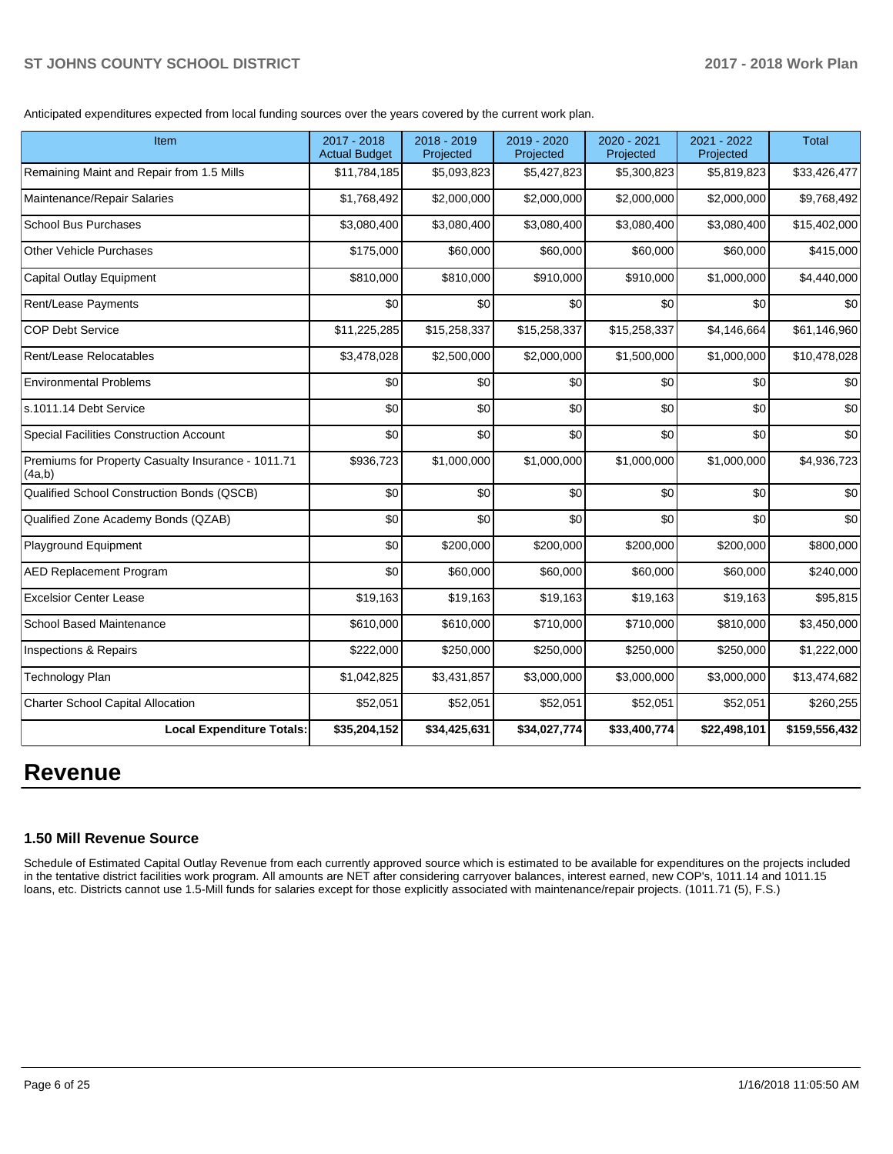Anticipated expenditures expected from local funding sources over the years covered by the current work plan.

| Item                                                         | 2017 - 2018<br><b>Actual Budget</b> | 2018 - 2019<br>Projected | 2019 - 2020<br>Projected | 2020 - 2021<br>Projected | 2021 - 2022<br>Projected | <b>Total</b>  |
|--------------------------------------------------------------|-------------------------------------|--------------------------|--------------------------|--------------------------|--------------------------|---------------|
| Remaining Maint and Repair from 1.5 Mills                    | \$11,784,185                        | \$5,093,823              | \$5,427,823              | \$5,300,823              | \$5,819,823              | \$33,426,477  |
| Maintenance/Repair Salaries                                  | \$1,768,492                         | \$2,000,000              | \$2,000,000              | \$2,000,000              | \$2,000,000              | \$9,768,492   |
| <b>School Bus Purchases</b>                                  | \$3,080,400                         | \$3,080,400              | \$3,080,400              | \$3,080,400              | \$3,080,400              | \$15,402,000  |
| <b>Other Vehicle Purchases</b>                               | \$175,000                           | \$60,000                 | \$60,000                 | \$60,000                 | \$60,000                 | \$415,000     |
| <b>Capital Outlay Equipment</b>                              | \$810,000                           | \$810,000                | \$910,000                | \$910,000                | \$1,000,000              | \$4,440,000   |
| Rent/Lease Payments                                          | \$0                                 | \$0                      | \$0                      | \$0                      | \$0                      | \$0           |
| <b>COP Debt Service</b>                                      | \$11,225,285                        | \$15,258,337             | \$15,258,337             | \$15,258,337             | \$4,146,664              | \$61,146,960  |
| Rent/Lease Relocatables                                      | \$3,478,028                         | \$2,500,000              | \$2,000,000              | \$1,500,000              | \$1,000,000              | \$10,478,028  |
| <b>Environmental Problems</b>                                | \$0                                 | \$0                      | \$0                      | \$0                      | \$0                      | \$0           |
| s.1011.14 Debt Service                                       | \$0                                 | \$0                      | \$0                      | \$0                      | \$0                      | \$0           |
| <b>Special Facilities Construction Account</b>               | \$0                                 | \$0                      | \$0                      | \$0                      | \$0                      | \$0           |
| Premiums for Property Casualty Insurance - 1011.71<br>(4a,b) | \$936,723                           | \$1,000,000              | \$1,000,000              | \$1,000,000              | \$1,000,000              | \$4,936,723   |
| Qualified School Construction Bonds (QSCB)                   | \$0                                 | \$0                      | \$0                      | \$0                      | \$0                      | \$0           |
| Qualified Zone Academy Bonds (QZAB)                          | \$0                                 | \$0                      | \$0                      | \$0                      | \$0                      | \$0           |
| Playground Equipment                                         | \$0                                 | \$200,000                | \$200,000                | \$200,000                | \$200,000                | \$800,000     |
| <b>AED Replacement Program</b>                               | \$0                                 | \$60,000                 | \$60,000                 | \$60,000                 | \$60,000                 | \$240,000     |
| <b>Excelsior Center Lease</b>                                | \$19,163                            | \$19,163                 | \$19,163                 | \$19,163                 | \$19,163                 | \$95,815      |
| <b>School Based Maintenance</b>                              | \$610,000                           | \$610,000                | \$710,000                | \$710,000                | \$810,000                | \$3,450,000   |
| Inspections & Repairs                                        | \$222,000                           | \$250,000                | \$250,000                | \$250,000                | \$250,000                | \$1,222,000   |
| <b>Technology Plan</b>                                       | \$1,042,825                         | \$3,431,857              | \$3,000,000              | \$3,000,000              | \$3,000,000              | \$13,474,682  |
| <b>Charter School Capital Allocation</b>                     | \$52,051                            | \$52,051                 | \$52,051                 | \$52,051                 | \$52,051                 | \$260,255     |
| <b>Local Expenditure Totals:</b>                             | \$35,204,152                        | \$34,425,631             | \$34,027,774             | \$33,400,774             | \$22,498,101             | \$159,556,432 |

# **Revenue**

#### **1.50 Mill Revenue Source**

Schedule of Estimated Capital Outlay Revenue from each currently approved source which is estimated to be available for expenditures on the projects included in the tentative district facilities work program. All amounts are NET after considering carryover balances, interest earned, new COP's, 1011.14 and 1011.15 loans, etc. Districts cannot use 1.5-Mill funds for salaries except for those explicitly associated with maintenance/repair projects. (1011.71 (5), F.S.)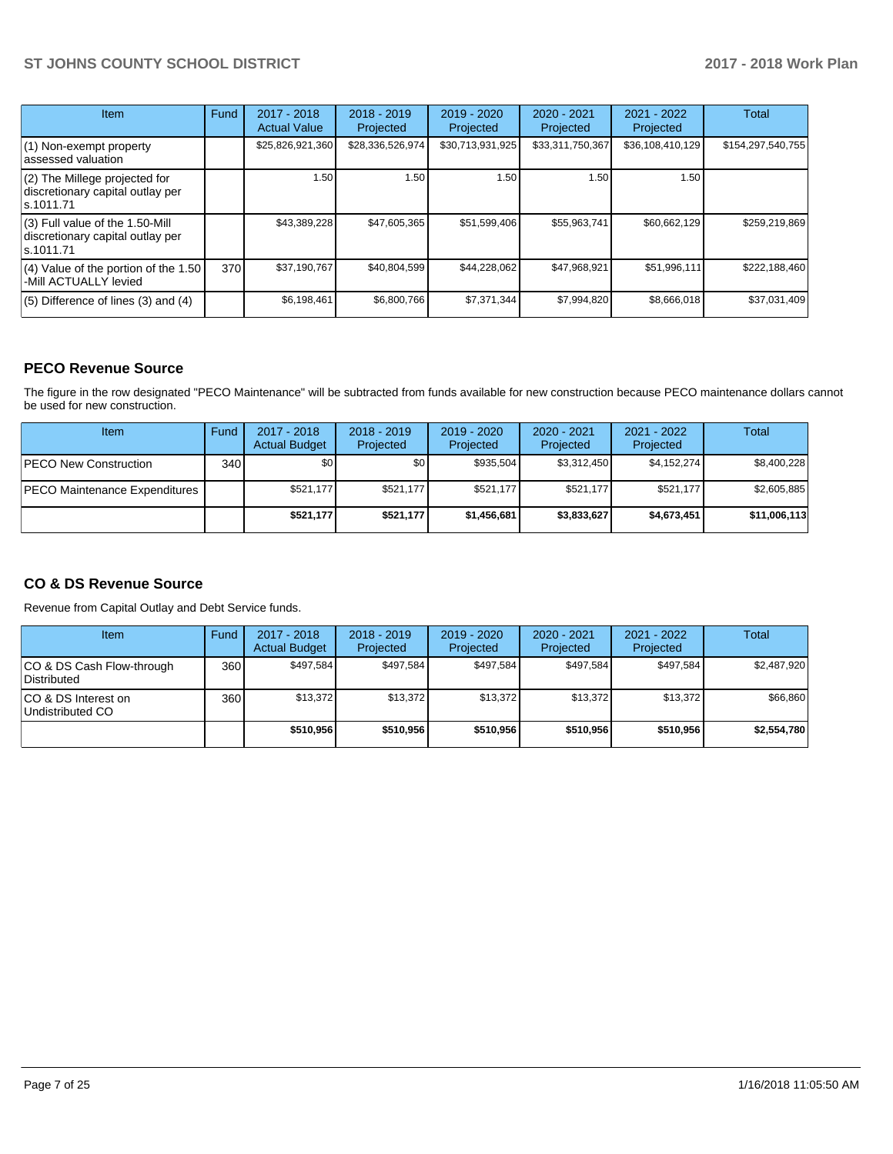| Item                                                                                | Fund | $2017 - 2018$<br><b>Actual Value</b> | $2018 - 2019$<br>Projected | $2019 - 2020$<br>Projected | $2020 - 2021$<br>Projected | 2021 - 2022<br>Projected | Total             |
|-------------------------------------------------------------------------------------|------|--------------------------------------|----------------------------|----------------------------|----------------------------|--------------------------|-------------------|
| $(1)$ Non-exempt property<br>lassessed valuation                                    |      | \$25,826,921,360                     | \$28,336,526,974           | \$30,713,931,925           | \$33,311,750,367           | \$36,108,410,129         | \$154,297,540,755 |
| (2) The Millege projected for<br>discretionary capital outlay per<br>ls.1011.71     |      | 1.50                                 | 1.50                       | 1.50                       | 1.50                       | 1.50                     |                   |
| $(3)$ Full value of the 1.50-Mill<br>discretionary capital outlay per<br>ls.1011.71 |      | \$43,389,228                         | \$47,605,365               | \$51,599,406               | \$55,963,741               | \$60,662,129             | \$259.219.869     |
| $(4)$ Value of the portion of the 1.50<br>-Mill ACTUALLY levied                     | 370I | \$37,190,767                         | \$40,804,599               | \$44,228,062               | \$47,968,921               | \$51,996,111             | \$222,188,460     |
| $(5)$ Difference of lines $(3)$ and $(4)$                                           |      | \$6,198,461                          | \$6,800,766                | \$7.371.344                | \$7,994,820                | \$8,666,018              | \$37,031,409      |

### **PECO Revenue Source**

The figure in the row designated "PECO Maintenance" will be subtracted from funds available for new construction because PECO maintenance dollars cannot be used for new construction.

| Item                           | Fund | 2017 - 2018<br><b>Actual Budget</b> | $2018 - 2019$<br>Projected | $2019 - 2020$<br>Projected | $2020 - 2021$<br>Projected | $2021 - 2022$<br>Projected | <b>Total</b> |
|--------------------------------|------|-------------------------------------|----------------------------|----------------------------|----------------------------|----------------------------|--------------|
| <b>PECO New Construction</b>   | 340  | \$0                                 | \$0                        | \$935.504                  | \$3,312,450                | \$4,152,274                | \$8,400,228  |
| IPECO Maintenance Expenditures |      | \$521,177                           | \$521,177                  | \$521.177                  | \$521.177                  | \$521.177                  | \$2,605,885  |
|                                |      | \$521,177                           | \$521.177                  | \$1,456,681                | \$3,833,627                | \$4,673,451                | \$11,006,113 |

## **CO & DS Revenue Source**

Revenue from Capital Outlay and Debt Service funds.

| Item                                      | Fund | $2017 - 2018$<br><b>Actual Budget</b> | $2018 - 2019$<br>Projected | $2019 - 2020$<br>Projected | $2020 - 2021$<br>Projected | $2021 - 2022$<br>Projected | <b>Total</b> |
|-------------------------------------------|------|---------------------------------------|----------------------------|----------------------------|----------------------------|----------------------------|--------------|
| ICO & DS Cash Flow-through<br>Distributed | 360  | \$497.584                             | \$497.584                  | \$497.584                  | \$497.584                  | \$497.584                  | \$2,487,920  |
| ICO & DS Interest on<br>Undistributed CO  | 360  | \$13.372                              | \$13.372                   | \$13.372                   | \$13.372                   | \$13.372                   | \$66,860     |
|                                           |      | \$510.956                             | \$510,956                  | \$510.956                  | \$510,956                  | \$510,956                  | \$2,554,780  |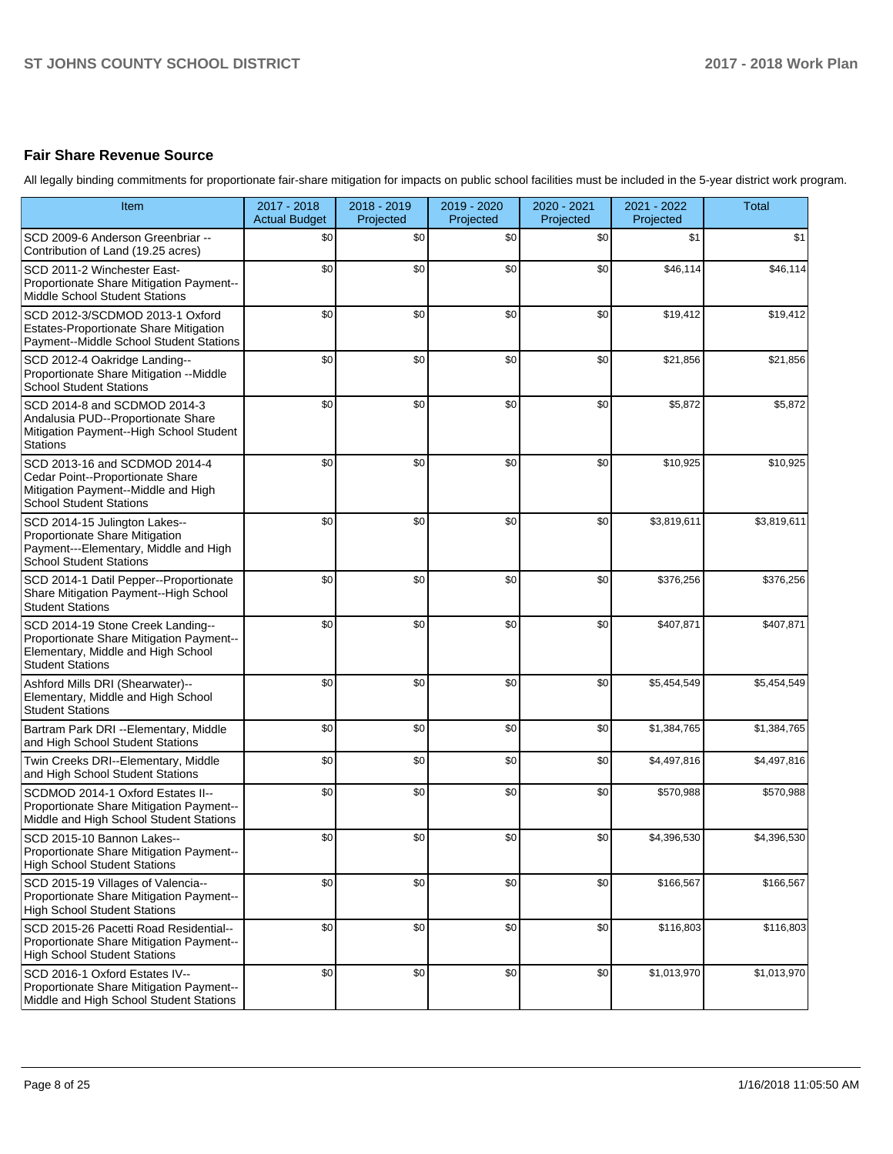# **Fair Share Revenue Source**

All legally binding commitments for proportionate fair-share mitigation for impacts on public school facilities must be included in the 5-year district work program.

| Item                                                                                                                                           | 2017 - 2018<br><b>Actual Budget</b> | 2018 - 2019<br>Projected | 2019 - 2020<br>Projected | 2020 - 2021<br>Projected | 2021 - 2022<br>Projected | <b>Total</b> |
|------------------------------------------------------------------------------------------------------------------------------------------------|-------------------------------------|--------------------------|--------------------------|--------------------------|--------------------------|--------------|
| SCD 2009-6 Anderson Greenbriar --<br>Contribution of Land (19.25 acres)                                                                        | \$0                                 | \$0                      | \$0                      | \$0                      | \$1                      | \$1          |
| SCD 2011-2 Winchester East-<br>Proportionate Share Mitigation Payment--<br><b>Middle School Student Stations</b>                               | \$0                                 | \$0                      | \$0                      | \$0                      | \$46,114                 | \$46,114     |
| SCD 2012-3/SCDMOD 2013-1 Oxford<br>Estates-Proportionate Share Mitigation<br>Payment--Middle School Student Stations                           | \$0                                 | \$0                      | \$0                      | \$0                      | \$19,412                 | \$19,412     |
| SCD 2012-4 Oakridge Landing--<br>Proportionate Share Mitigation -- Middle<br><b>School Student Stations</b>                                    | \$0                                 | \$0                      | \$0                      | \$0                      | \$21,856                 | \$21,856     |
| SCD 2014-8 and SCDMOD 2014-3<br>Andalusia PUD--Proportionate Share<br>Mitigation Payment--High School Student<br><b>Stations</b>               | \$0                                 | \$0                      | \$0                      | \$0                      | \$5,872                  | \$5,872      |
| SCD 2013-16 and SCDMOD 2014-4<br>Cedar Point--Proportionate Share<br>Mitigation Payment--Middle and High<br><b>School Student Stations</b>     | \$0                                 | \$0                      | \$0                      | \$0                      | \$10,925                 | \$10,925     |
| SCD 2014-15 Julington Lakes--<br>Proportionate Share Mitigation<br>Payment---Elementary, Middle and High<br><b>School Student Stations</b>     | \$0                                 | \$0                      | \$0                      | \$0                      | \$3,819,611              | \$3,819,611  |
| SCD 2014-1 Datil Pepper--Proportionate<br>Share Mitigation Payment--High School<br><b>Student Stations</b>                                     | \$0                                 | \$0                      | \$0                      | \$0                      | \$376,256                | \$376,256    |
| SCD 2014-19 Stone Creek Landing--<br>Proportionate Share Mitigation Payment--<br>Elementary, Middle and High School<br><b>Student Stations</b> | \$0                                 | \$0                      | \$0                      | \$0                      | \$407,871                | \$407,871    |
| Ashford Mills DRI (Shearwater)--<br>Elementary, Middle and High School<br><b>Student Stations</b>                                              | \$0                                 | \$0                      | \$0                      | \$0                      | \$5,454,549              | \$5,454,549  |
| Bartram Park DRI --Elementary, Middle<br>and High School Student Stations                                                                      | \$0                                 | \$0                      | \$0                      | \$0                      | \$1,384,765              | \$1,384,765  |
| Twin Creeks DRI--Elementary, Middle<br>and High School Student Stations                                                                        | \$0                                 | \$0                      | \$0                      | \$0                      | \$4,497,816              | \$4,497,816  |
| SCDMOD 2014-1 Oxford Estates II--<br>Proportionate Share Mitigation Payment--<br>Middle and High School Student Stations                       | \$0                                 | \$0                      | \$0                      | \$0                      | \$570,988                | \$570,988    |
| SCD 2015-10 Bannon Lakes--<br>Proportionate Share Mitigation Payment--<br><b>High School Student Stations</b>                                  | \$0                                 | \$0                      | \$0                      | \$0                      | \$4,396,530              | \$4,396,530  |
| SCD 2015-19 Villages of Valencia--<br>Proportionate Share Mitigation Payment--<br><b>High School Student Stations</b>                          | \$0                                 | \$0                      | \$0                      | \$0                      | \$166,567                | \$166,567    |
| SCD 2015-26 Pacetti Road Residential--<br>Proportionate Share Mitigation Payment--<br><b>High School Student Stations</b>                      | \$0                                 | \$0                      | \$0                      | \$0                      | \$116,803                | \$116,803    |
| SCD 2016-1 Oxford Estates IV--<br>Proportionate Share Mitigation Payment--<br>Middle and High School Student Stations                          | \$0                                 | \$0                      | \$0                      | \$0                      | \$1,013,970              | \$1,013,970  |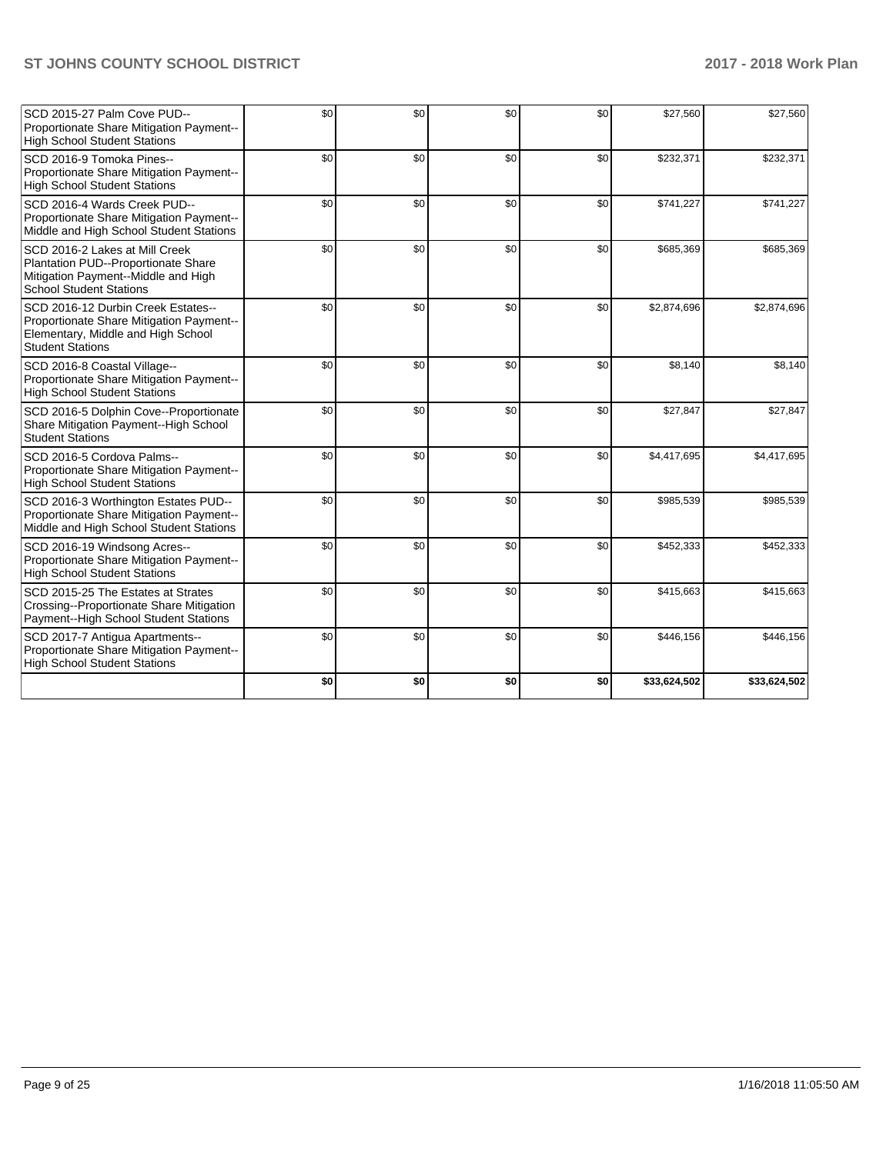| SCD 2015-27 Palm Cove PUD--<br>Proportionate Share Mitigation Payment--<br><b>High School Student Stations</b>                                  | \$0 | \$0 | \$0 | \$0 | \$27,560     | \$27,560     |
|-------------------------------------------------------------------------------------------------------------------------------------------------|-----|-----|-----|-----|--------------|--------------|
| SCD 2016-9 Tomoka Pines--<br>Proportionate Share Mitigation Payment--<br><b>High School Student Stations</b>                                    | \$0 | \$0 | \$0 | \$0 | \$232,371    | \$232,371    |
| SCD 2016-4 Wards Creek PUD--<br>Proportionate Share Mitigation Payment--<br>Middle and High School Student Stations                             | \$0 | \$0 | \$0 | \$0 | \$741,227    | \$741,227    |
| SCD 2016-2 Lakes at Mill Creek<br>Plantation PUD--Proportionate Share<br>Mitigation Payment--Middle and High<br><b>School Student Stations</b>  | \$0 | \$0 | \$0 | \$0 | \$685,369    | \$685,369    |
| SCD 2016-12 Durbin Creek Estates--<br>Proportionate Share Mitigation Payment--<br>Elementary, Middle and High School<br><b>Student Stations</b> | \$0 | \$0 | \$0 | \$0 | \$2,874,696  | \$2,874,696  |
| SCD 2016-8 Coastal Village--<br>Proportionate Share Mitigation Payment--<br><b>High School Student Stations</b>                                 | \$0 | \$0 | \$0 | \$0 | \$8,140      | \$8,140      |
| SCD 2016-5 Dolphin Cove--Proportionate<br>Share Mitigation Payment--High School<br><b>Student Stations</b>                                      | \$0 | \$0 | \$0 | \$0 | \$27,847     | \$27,847     |
| SCD 2016-5 Cordova Palms--<br>Proportionate Share Mitigation Payment--<br><b>High School Student Stations</b>                                   | \$0 | \$0 | \$0 | \$0 | \$4,417,695  | \$4,417,695  |
| SCD 2016-3 Worthington Estates PUD--<br>Proportionate Share Mitigation Payment--<br>Middle and High School Student Stations                     | \$0 | \$0 | \$0 | \$0 | \$985,539    | \$985,539    |
| SCD 2016-19 Windsong Acres--<br>Proportionate Share Mitigation Payment--<br><b>High School Student Stations</b>                                 | \$0 | \$0 | \$0 | \$0 | \$452,333    | \$452,333    |
| SCD 2015-25 The Estates at Strates<br>Crossing--Proportionate Share Mitigation<br>Payment-High School Student Stations                          | \$0 | \$0 | \$0 | \$0 | \$415,663    | \$415,663    |
| SCD 2017-7 Antigua Apartments--<br>Proportionate Share Mitigation Payment--<br><b>High School Student Stations</b>                              | \$0 | \$0 | \$0 | \$0 | \$446,156    | \$446,156    |
|                                                                                                                                                 | \$0 | \$0 | \$0 | \$0 | \$33,624,502 | \$33,624,502 |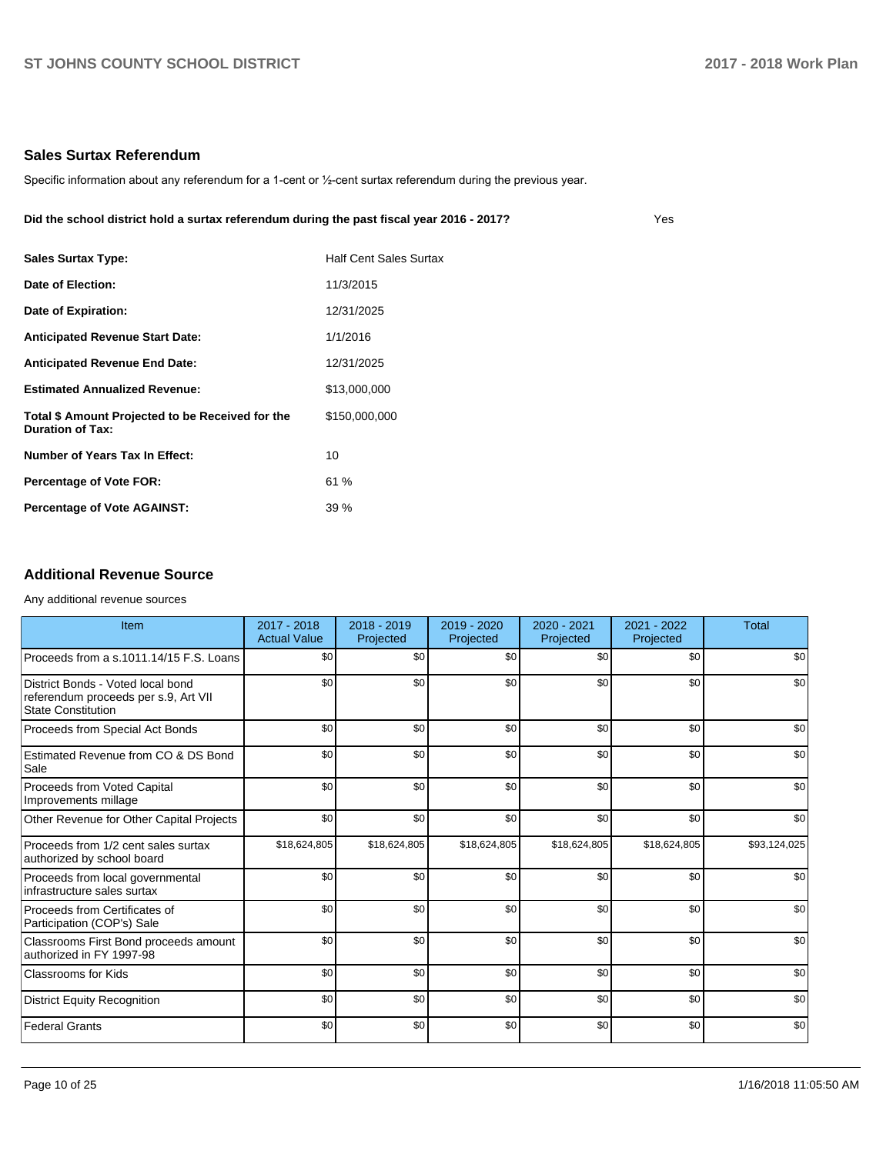Yes

#### **Sales Surtax Referendum**

Specific information about any referendum for a 1-cent or 1/2-cent surtax referendum during the previous year.

#### **Did the school district hold a surtax referendum during the past fiscal year 2016 - 2017?**

| <b>Sales Surtax Type:</b>                                                   | <b>Half Cent Sales Surtax</b> |
|-----------------------------------------------------------------------------|-------------------------------|
| Date of Election:                                                           | 11/3/2015                     |
| Date of Expiration:                                                         | 12/31/2025                    |
| <b>Anticipated Revenue Start Date:</b>                                      | 1/1/2016                      |
| <b>Anticipated Revenue End Date:</b>                                        | 12/31/2025                    |
| <b>Estimated Annualized Revenue:</b>                                        | \$13,000,000                  |
| Total \$ Amount Projected to be Received for the<br><b>Duration of Tax:</b> | \$150,000,000                 |
| <b>Number of Years Tax In Effect:</b>                                       | 10                            |
| <b>Percentage of Vote FOR:</b>                                              | 61 %                          |
| <b>Percentage of Vote AGAINST:</b>                                          | 39%                           |

### **Additional Revenue Source**

#### Any additional revenue sources

| Item                                                                                                   | 2017 - 2018<br><b>Actual Value</b> | $2018 - 2019$<br>Projected | $2019 - 2020$<br>Projected | 2020 - 2021<br>Projected | $2021 - 2022$<br>Projected | <b>Total</b> |
|--------------------------------------------------------------------------------------------------------|------------------------------------|----------------------------|----------------------------|--------------------------|----------------------------|--------------|
| Proceeds from a s.1011.14/15 F.S. Loans                                                                | \$0                                | \$0                        | \$0                        | \$0                      | \$0                        | \$0          |
| District Bonds - Voted local bond<br>referendum proceeds per s.9, Art VII<br><b>State Constitution</b> | \$0                                | \$0                        | \$0                        | \$0                      | \$0                        | \$0          |
| Proceeds from Special Act Bonds                                                                        | \$0                                | \$0                        | \$0                        | \$0                      | \$0                        | \$0          |
| Estimated Revenue from CO & DS Bond<br>Sale                                                            | \$0                                | \$0                        | \$0                        | \$0                      | \$0                        | \$0          |
| Proceeds from Voted Capital<br>Improvements millage                                                    | \$0                                | \$0                        | \$0                        | \$0                      | \$0                        | \$0          |
| Other Revenue for Other Capital Projects                                                               | \$0                                | \$0                        | \$0                        | \$0                      | \$0                        | \$0          |
| Proceeds from 1/2 cent sales surtax<br>authorized by school board                                      | \$18,624,805                       | \$18,624,805               | \$18,624,805               | \$18,624,805             | \$18,624,805               | \$93,124,025 |
| Proceeds from local governmental<br>infrastructure sales surtax                                        | \$0                                | \$0                        | \$0                        | \$0                      | \$0                        | \$0          |
| Proceeds from Certificates of<br>Participation (COP's) Sale                                            | \$0                                | \$0                        | \$0                        | \$0                      | \$0                        | \$0          |
| Classrooms First Bond proceeds amount<br>authorized in FY 1997-98                                      | \$0                                | \$0                        | \$0                        | \$0                      | \$0                        | \$0          |
| <b>Classrooms for Kids</b>                                                                             | \$0                                | \$0                        | \$0                        | \$0                      | \$0                        | \$0          |
| District Equity Recognition                                                                            | \$0                                | \$0                        | \$0                        | \$0                      | \$0                        | \$0          |
| Federal Grants                                                                                         | \$0                                | \$0                        | \$0                        | \$0                      | \$0                        | \$0          |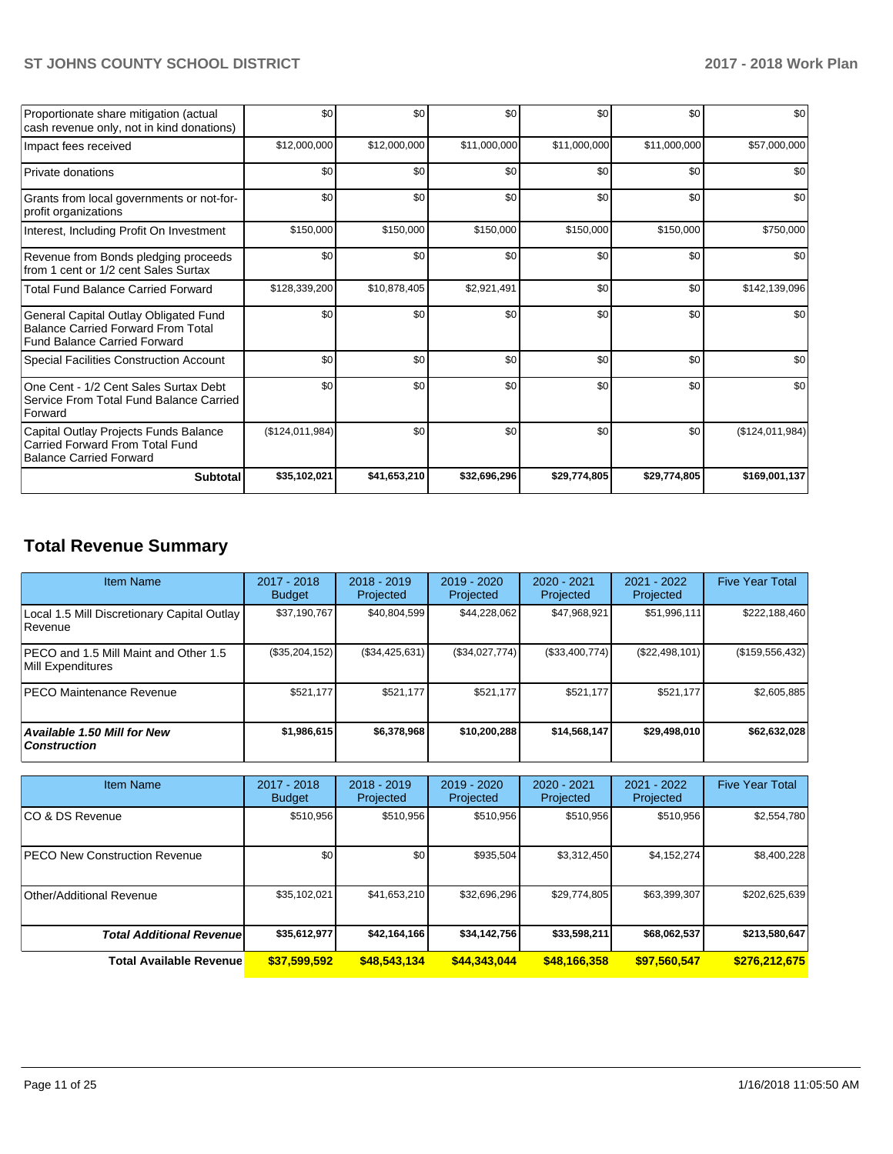| Proportionate share mitigation (actual<br>cash revenue only, not in kind donations)                                       | \$0             | \$0          | \$0          | \$0          | \$0          | \$0             |
|---------------------------------------------------------------------------------------------------------------------------|-----------------|--------------|--------------|--------------|--------------|-----------------|
| Impact fees received                                                                                                      | \$12,000,000    | \$12,000,000 | \$11,000,000 | \$11,000,000 | \$11,000,000 | \$57,000,000    |
| Private donations                                                                                                         | \$0             | \$0          | \$0          | \$0          | \$0          | \$0             |
| Grants from local governments or not-for-<br>profit organizations                                                         | \$0             | \$0          | \$0          | \$0          | \$0          | \$0             |
| Interest, Including Profit On Investment                                                                                  | \$150,000       | \$150,000    | \$150,000    | \$150,000    | \$150,000    | \$750,000       |
| Revenue from Bonds pledging proceeds<br>from 1 cent or 1/2 cent Sales Surtax                                              | \$0             | \$0          | \$0          | \$0          | \$0          | \$0             |
| <b>Total Fund Balance Carried Forward</b>                                                                                 | \$128,339,200   | \$10,878,405 | \$2,921,491  | \$0          | \$0          | \$142,139,096   |
| General Capital Outlay Obligated Fund<br><b>Balance Carried Forward From Total</b><br><b>Fund Balance Carried Forward</b> | \$0             | \$0          | \$0          | \$0          | \$0          | \$0             |
| Special Facilities Construction Account                                                                                   | \$0             | \$0          | \$0          | \$0          | \$0          | \$0             |
| One Cent - 1/2 Cent Sales Surtax Debt<br>Service From Total Fund Balance Carried<br>Forward                               | \$0             | \$0          | \$0          | \$0          | \$0          | \$0             |
| Capital Outlay Projects Funds Balance<br><b>Carried Forward From Total Fund</b><br><b>Balance Carried Forward</b>         | (\$124,011,984) | \$0          | \$0          | \$0          | \$0          | (\$124,011,984) |
| Subtotal                                                                                                                  | \$35,102,021    | \$41,653,210 | \$32,696,296 | \$29,774,805 | \$29,774,805 | \$169,001,137   |

# **Total Revenue Summary**

| <b>Item Name</b>                                            | $2017 - 2018$<br><b>Budget</b> | $2018 - 2019$<br>Projected | 2019 - 2020<br><b>Projected</b> | $2020 - 2021$<br>Projected | 2021 - 2022<br>Projected | <b>Five Year Total</b> |
|-------------------------------------------------------------|--------------------------------|----------------------------|---------------------------------|----------------------------|--------------------------|------------------------|
| Local 1.5 Mill Discretionary Capital Outlay<br>Revenue      | \$37,190,767                   | \$40,804,599               | \$44,228,062                    | \$47,968,921               | \$51,996,111             | \$222,188,460          |
| IPECO and 1.5 Mill Maint and Other 1.5<br>Mill Expenditures | (\$35,204,152)                 | (\$34,425,631)             | (\$34,027,774)                  | (\$33,400,774)             | (S22, 498, 101)          | (\$159,556,432)        |
| <b>IPECO Maintenance Revenue</b>                            | \$521.177                      | \$521.177                  | \$521.177                       | \$521.177                  | \$521.177                | \$2,605,885            |
| Available 1.50 Mill for New<br>  Construction               | \$1.986.615                    | \$6,378,968                | \$10,200,288                    | \$14,568,147               | \$29,498,010             | \$62,632,028           |

| <b>Item Name</b>                     | 2017 - 2018<br><b>Budget</b> | $2018 - 2019$<br>Projected | $2019 - 2020$<br>Projected | $2020 - 2021$<br>Projected | 2021 - 2022<br>Projected | <b>Five Year Total</b> |
|--------------------------------------|------------------------------|----------------------------|----------------------------|----------------------------|--------------------------|------------------------|
| ICO & DS Revenue                     | \$510,956                    | \$510,956                  | \$510.956                  | \$510.956                  | \$510,956                | \$2,554,780            |
| <b>PECO New Construction Revenue</b> | \$0                          | \$0                        | \$935.504                  | \$3,312,450                | \$4,152,274              | \$8,400,228            |
| Other/Additional Revenue             | \$35,102,021                 | \$41,653,210               | \$32,696,296               | \$29,774,805               | \$63,399,307             | \$202,625,639          |
| <b>Total Additional Revenue</b>      | \$35,612,977                 | \$42,164,166               | \$34,142,756               | \$33,598,211               | \$68,062,537             | \$213,580,647          |
| <b>Total Available Revenue</b>       | \$37,599,592                 | \$48,543,134               | \$44,343,044               | \$48,166,358               | \$97,560,547             | \$276,212,675          |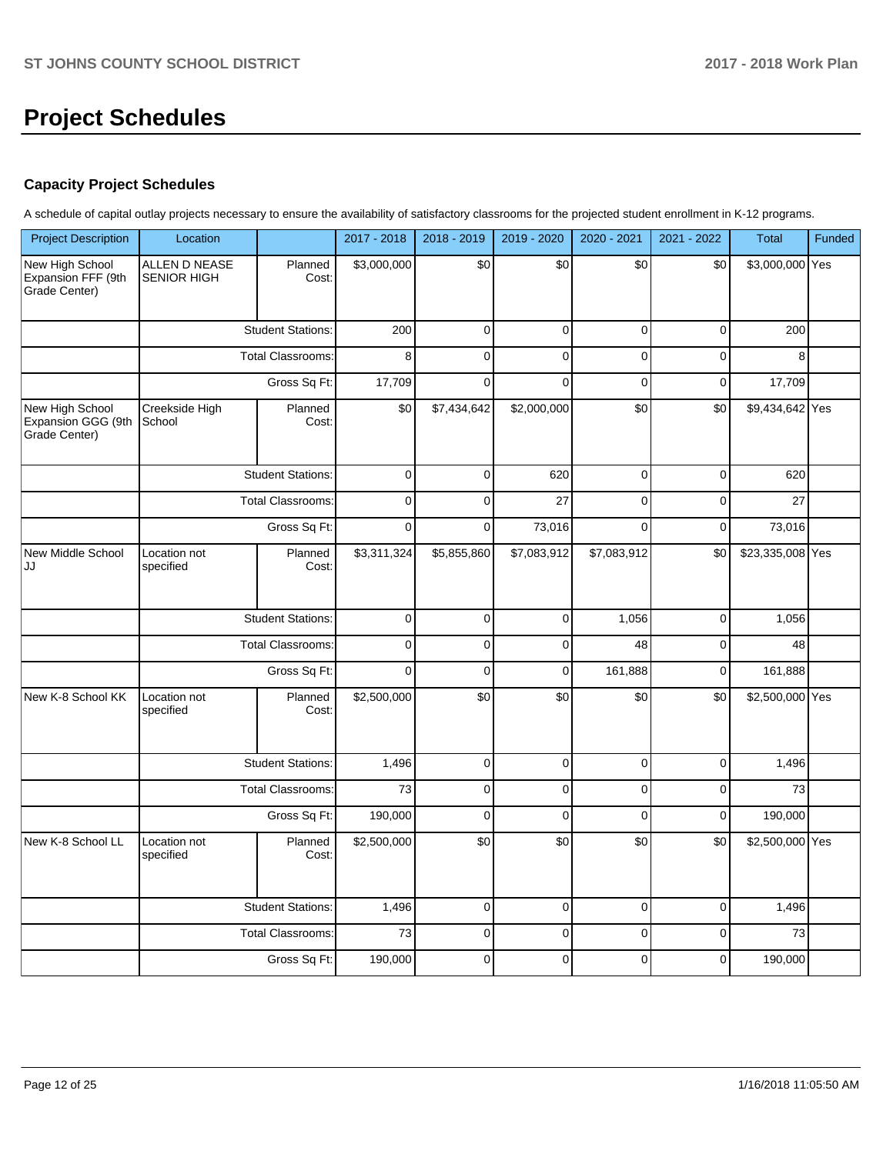# **Project Schedules**

# **Capacity Project Schedules**

A schedule of capital outlay projects necessary to ensure the availability of satisfactory classrooms for the projected student enrollment in K-12 programs.

| <b>Project Description</b>                             | Location                                 |                          | 2017 - 2018             | 2018 - 2019     | 2019 - 2020    | 2020 - 2021                   | 2021 - 2022 | <b>Total</b>     | Funded |
|--------------------------------------------------------|------------------------------------------|--------------------------|-------------------------|-----------------|----------------|-------------------------------|-------------|------------------|--------|
| New High School<br>Expansion FFF (9th<br>Grade Center) | ALLEN D NEASE<br><b>SENIOR HIGH</b>      | Planned<br>Cost:         | $\overline{$}3,000,000$ | \$0             | \$0            | \$0                           | \$0         | \$3,000,000 Yes  |        |
|                                                        |                                          | <b>Student Stations:</b> | 200                     | $\mathbf 0$     | $\mathbf 0$    | $\mathbf 0$                   | $\mathbf 0$ | 200              |        |
|                                                        |                                          | <b>Total Classrooms:</b> | 8                       | $\mathbf 0$     | $\mathbf 0$    | $\Omega$                      | $\mathbf 0$ | 8                |        |
|                                                        | Gross Sq Ft:                             |                          | 17,709                  | $\mathbf 0$     | $\mathbf 0$    | $\mathbf 0$                   | $\mathbf 0$ | 17,709           |        |
| New High School<br>Expansion GGG (9th<br>Grade Center) | Creekside High<br>School                 | Planned<br>Cost:         | \$0                     | \$7,434,642     | \$2,000,000    | \$0<br>\$0<br>\$9,434,642 Yes |             |                  |        |
|                                                        |                                          | <b>Student Stations:</b> | $\mathbf 0$             | $\mathbf 0$     | 620            | $\mathbf 0$                   | $\mathbf 0$ | 620              |        |
|                                                        | <b>Total Classrooms:</b><br>Gross Sq Ft: |                          | $\mathbf 0$             | $\mathbf 0$     | 27             | $\mathbf 0$                   | $\mathbf 0$ | 27               |        |
|                                                        |                                          |                          | $\mathbf 0$             | $\mathbf 0$     | 73,016         | $\Omega$                      | $\mathbf 0$ | 73,016           |        |
| New Middle School<br>JJ                                | Location not<br>specified                | Planned<br>Cost:         | \$3,311,324             | \$5,855,860     | \$7,083,912    | \$7,083,912                   | \$0         | \$23,335,008 Yes |        |
|                                                        |                                          | <b>Student Stations:</b> |                         | $\pmb{0}$       | $\pmb{0}$      | 1,056                         | $\pmb{0}$   | 1,056            |        |
|                                                        | <b>Total Classrooms:</b>                 |                          | $\mathbf 0$             | $\mathbf 0$     | $\mathbf 0$    | 48                            | $\mathbf 0$ | 48               |        |
|                                                        |                                          | Gross Sq Ft:             | $\mathbf 0$             | $\mathbf 0$     | $\mathbf 0$    | 161,888                       | $\mathbf 0$ | 161,888          |        |
| New K-8 School KK                                      | Location not<br>specified                | Planned<br>Cost:         | \$2,500,000             | $\overline{30}$ | \$0            | \$0                           | \$0         | \$2,500,000 Yes  |        |
|                                                        |                                          | <b>Student Stations:</b> | 1,496                   | $\mathbf 0$     | $\mathbf 0$    | $\mathbf 0$                   | $\mathbf 0$ | 1,496            |        |
|                                                        |                                          | <b>Total Classrooms:</b> | 73                      | $\mathbf 0$     | $\mathbf 0$    | $\mathbf 0$                   | $\mathbf 0$ | 73               |        |
|                                                        |                                          | Gross Sq Ft:             | 190,000                 | $\mathbf 0$     | $\overline{0}$ | $\mathbf 0$                   | $\mathbf 0$ | 190,000          |        |
| New K-8 School LL                                      | Location not<br>specified                | Planned<br>Cost:         | \$2,500,000             | \$0             | \$0            | \$0                           | \$0         | \$2,500,000 Yes  |        |
|                                                        |                                          | <b>Student Stations:</b> | 1,496                   | $\pmb{0}$       | $\pmb{0}$      | $\mathbf 0$                   | $\pmb{0}$   | 1,496            |        |
|                                                        |                                          | <b>Total Classrooms:</b> | 73                      | $\mathbf 0$     | $\mathbf 0$    | $\mathbf 0$                   | $\mathbf 0$ | 73               |        |
|                                                        |                                          | Gross Sq Ft:             | 190,000                 | $\mathbf 0$     | $\mathbf 0$    | $\Omega$                      | $\mathbf 0$ | 190,000          |        |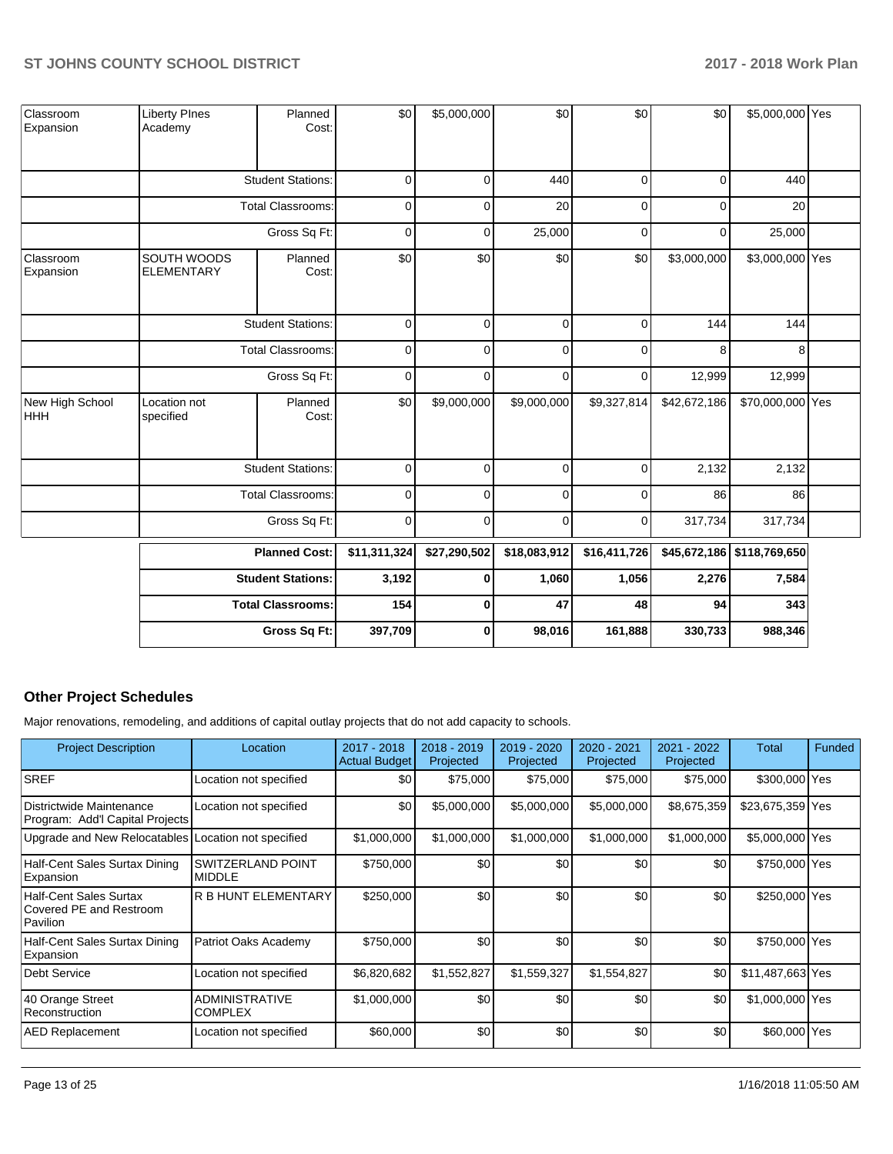| Classroom<br>Expansion        | <b>Liberty PInes</b><br>Academy  | Planned<br>Cost:         | \$0          | \$5,000,000  | \$0          | \$0          | \$0          | \$5,000,000 Yes            |  |
|-------------------------------|----------------------------------|--------------------------|--------------|--------------|--------------|--------------|--------------|----------------------------|--|
|                               |                                  | <b>Student Stations:</b> | $\mathbf 0$  | $\mathbf 0$  | 440          | 0            | $\mathbf 0$  | 440                        |  |
|                               |                                  | <b>Total Classrooms:</b> | 0            | $\Omega$     | 20           | $\mathbf 0$  | 0            | 20                         |  |
|                               |                                  | Gross Sq Ft:             | $\mathbf 0$  | 0            | 25,000       | 0            | 0            | 25,000                     |  |
| Classroom<br>Expansion        | SOUTH WOODS<br><b>ELEMENTARY</b> | Planned<br>Cost:         | \$0          | \$0          | \$0          | \$0          | \$3,000,000  | \$3,000,000 Yes            |  |
|                               |                                  | <b>Student Stations:</b> | $\pmb{0}$    | $\mathbf 0$  | $\pmb{0}$    | 0            | 144          | 144                        |  |
|                               | <b>Total Classrooms:</b>         |                          | 0            | 0            | $\mathbf 0$  | 0            | 8            | 8                          |  |
|                               | Gross Sq Ft:                     |                          | $\mathbf 0$  | 0            | $\mathbf 0$  | 0            | 12,999       | 12,999                     |  |
| New High School<br><b>HHH</b> | Location not<br>specified        | Planned<br>Cost:         | \$0          | \$9,000,000  | \$9,000,000  | \$9,327,814  | \$42,672,186 | \$70,000,000 Yes           |  |
|                               |                                  | <b>Student Stations:</b> | $\pmb{0}$    | $\mathbf 0$  | $\pmb{0}$    | 0            | 2,132        | 2,132                      |  |
|                               |                                  | <b>Total Classrooms:</b> | 0            | $\Omega$     | $\mathbf 0$  | $\Omega$     | 86           | 86                         |  |
|                               |                                  | Gross Sq Ft:             | 0            | $\mathbf 0$  | $\mathbf 0$  | 0            | 317,734      | 317,734                    |  |
|                               |                                  | <b>Planned Cost:</b>     | \$11,311,324 | \$27,290,502 | \$18,083,912 | \$16,411,726 |              | \$45,672,186 \$118,769,650 |  |
|                               |                                  | <b>Student Stations:</b> | 3,192        | 0            | 1,060        | 1,056        | 2,276        | 7,584                      |  |
|                               |                                  | <b>Total Classrooms:</b> | 154          | 0            | 47           | 48           | 94           | 343                        |  |
|                               |                                  | Gross Sq Ft:             | 397,709      | 0            | 98,016       | 161,888      | 330,733      | 988,346                    |  |

# **Other Project Schedules**

Major renovations, remodeling, and additions of capital outlay projects that do not add capacity to schools.

| <b>Project Description</b>                                           | Location                                  | $2017 - 2018$<br><b>Actual Budget</b> | $2018 - 2019$<br>Projected | 2019 - 2020<br>Projected | $2020 - 2021$<br>Projected | $2021 - 2022$<br>Projected | Total            | Funded |
|----------------------------------------------------------------------|-------------------------------------------|---------------------------------------|----------------------------|--------------------------|----------------------------|----------------------------|------------------|--------|
| <b>SREF</b>                                                          | Location not specified                    | \$0                                   | \$75,000                   | \$75,000                 | \$75,000                   | \$75,000                   | \$300,000 Yes    |        |
| Districtwide Maintenance<br>Program: Add'l Capital Projects          | Location not specified                    | \$0                                   | \$5,000,000                | \$5,000,000              | \$5,000,000                | \$8,675,359                | \$23,675,359 Yes |        |
| Upgrade and New Relocatables Location not specified                  |                                           | \$1,000,000                           | \$1,000,000                | \$1,000,000              | \$1,000,000                | \$1,000,000                | \$5,000,000 Yes  |        |
| Half-Cent Sales Surtax Dining<br>Expansion                           | <b>SWITZERLAND POINT</b><br><b>MIDDLE</b> | \$750,000                             | \$0                        | \$0                      | \$0                        | \$0                        | \$750,000 Yes    |        |
| <b>Half-Cent Sales Surtax</b><br>Covered PE and Restroom<br>Pavilion | <b>R B HUNT ELEMENTARY</b>                | \$250,000                             | \$0                        | \$0                      | \$0                        | \$0                        | \$250,000 Yes    |        |
| Half-Cent Sales Surtax Dining<br>Expansion                           | Patriot Oaks Academy                      | \$750,000                             | \$0                        | \$0                      | \$0                        | \$0                        | \$750,000 Yes    |        |
| <b>Debt Service</b>                                                  | Location not specified                    | \$6,820,682                           | \$1,552,827                | \$1,559,327              | \$1,554,827                | \$0                        | \$11,487,663 Yes |        |
| 40 Orange Street<br>Reconstruction                                   | <b>ADMINISTRATIVE</b><br><b>COMPLEX</b>   | \$1,000,000                           | \$0                        | \$0                      | \$0                        | \$0                        | \$1,000,000 Yes  |        |
| <b>AED Replacement</b>                                               | Location not specified                    | \$60,000                              | \$0                        | \$0                      | \$0                        | \$0                        | \$60,000 Yes     |        |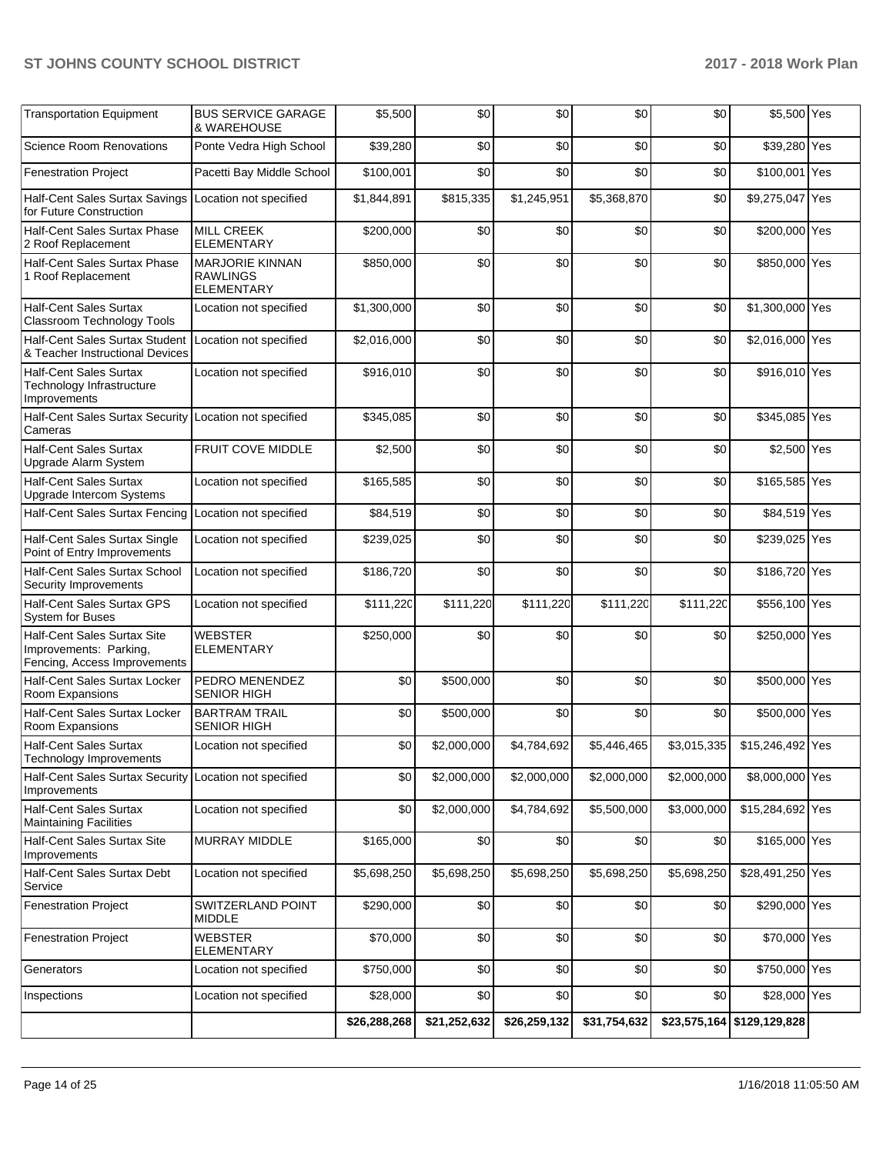| <b>Transportation Equipment</b>                                                       | <b>BUS SERVICE GARAGE</b><br>& WAREHOUSE                | \$5,500      | \$0          | \$0          | \$0          | \$0         | \$5,500 Yes                |  |
|---------------------------------------------------------------------------------------|---------------------------------------------------------|--------------|--------------|--------------|--------------|-------------|----------------------------|--|
| <b>Science Room Renovations</b>                                                       | Ponte Vedra High School                                 | \$39,280     | \$0          | \$0          | \$0          | \$0         | \$39,280 Yes               |  |
| <b>Fenestration Project</b>                                                           | Pacetti Bay Middle School                               | \$100,001    | \$0          | \$0          | \$0          | \$0         | \$100,001 Yes              |  |
| Half-Cent Sales Surtax Savings   Location not specified<br>for Future Construction    |                                                         | \$1,844,891  | \$815,335    | \$1,245,951  | \$5,368,870  | \$0         | \$9,275,047 Yes            |  |
| Half-Cent Sales Surtax Phase<br>2 Roof Replacement                                    | <b>MILL CREEK</b><br><b>ELEMENTARY</b>                  | \$200,000    | \$0          | \$0          | \$0          | \$0         | \$200,000 Yes              |  |
| Half-Cent Sales Surtax Phase<br>1 Roof Replacement                                    | MARJORIE KINNAN<br><b>RAWLINGS</b><br><b>ELEMENTARY</b> | \$850,000    | \$0          | \$0          | \$0          | \$0         | \$850,000 Yes              |  |
| <b>Half-Cent Sales Surtax</b><br>Classroom Technology Tools                           | Location not specified                                  | \$1,300,000  | \$0          | \$0          | \$0          | \$0         | \$1,300,000 Yes            |  |
| Half-Cent Sales Surtax Student<br>& Teacher Instructional Devices                     | Location not specified                                  | \$2,016,000  | \$0          | \$0          | \$0          | \$0         | \$2,016,000 Yes            |  |
| <b>Half-Cent Sales Surtax</b><br>Technology Infrastructure<br>Improvements            | Location not specified                                  | \$916,010    | \$0          | \$0          | \$0          | \$0         | \$916,010 Yes              |  |
| Half-Cent Sales Surtax Security Location not specified<br>Cameras                     |                                                         | \$345,085    | \$0          | \$0          | \$0          | \$0         | \$345,085 Yes              |  |
| <b>Half-Cent Sales Surtax</b><br>Upgrade Alarm System                                 | <b>FRUIT COVE MIDDLE</b>                                | \$2,500      | \$0          | \$0          | \$0          | \$0         | \$2,500 Yes                |  |
| <b>Half-Cent Sales Surtax</b><br>Upgrade Intercom Systems                             | Location not specified                                  | \$165,585    | \$0          | \$0          | \$0          | \$0         | \$165,585 Yes              |  |
| Half-Cent Sales Surtax Fencing Location not specified                                 |                                                         | \$84,519     | \$0          | \$0          | \$0          | \$0         | \$84,519 Yes               |  |
| Half-Cent Sales Surtax Single<br>Point of Entry Improvements                          | Location not specified                                  | \$239,025    | \$0          | \$0          | \$0          | \$0         | \$239,025 Yes              |  |
| Half-Cent Sales Surtax School<br>Security Improvements                                | Location not specified                                  | \$186,720    | \$0          | \$0          | \$0          | \$0         | \$186,720 Yes              |  |
| Half-Cent Sales Surtax GPS<br><b>System for Buses</b>                                 | Location not specified                                  | \$111,220    | \$111,220    | \$111,220    | \$111,220    | \$111,220   | \$556,100 Yes              |  |
| Half-Cent Sales Surtax Site<br>Improvements: Parking,<br>Fencing, Access Improvements | WEBSTER<br><b>ELEMENTARY</b>                            | \$250,000    | \$0          | \$0          | \$0          | \$0         | \$250,000 Yes              |  |
| Half-Cent Sales Surtax Locker<br>Room Expansions                                      | PEDRO MENENDEZ<br><b>SENIOR HIGH</b>                    | \$0          | \$500,000    | \$0          | \$0          | \$0         | \$500,000 Yes              |  |
| Half-Cent Sales Surtax Locker<br>Room Expansions                                      | <b>BARTRAM TRAIL</b><br><b>SENIOR HIGH</b>              | \$0          | \$500,000    | \$0          | \$0          | \$0         | \$500,000 Yes              |  |
| <b>Half-Cent Sales Surtax</b><br>Technology Improvements                              | Location not specified                                  | \$0          | \$2,000,000  | \$4,784,692  | \$5,446,465  | \$3,015,335 | \$15,246,492 Yes           |  |
| <b>Half-Cent Sales Surtax Security</b><br>Improvements                                | Location not specified                                  | \$0          | \$2,000,000  | \$2,000,000  | \$2,000,000  | \$2,000,000 | \$8,000,000 Yes            |  |
| <b>Half-Cent Sales Surtax</b><br><b>Maintaining Facilities</b>                        | Location not specified                                  | \$0          | \$2,000,000  | \$4,784,692  | \$5,500,000  | \$3,000,000 | \$15,284,692 Yes           |  |
| Half-Cent Sales Surtax Site<br>Improvements                                           | MURRAY MIDDLE                                           | \$165,000    | \$0          | \$0          | \$0          | \$0         | \$165,000 Yes              |  |
| Half-Cent Sales Surtax Debt<br>Service                                                | Location not specified                                  | \$5,698,250  | \$5,698,250  | \$5,698,250  | \$5,698,250  | \$5,698,250 | \$28,491,250 Yes           |  |
| <b>Fenestration Project</b>                                                           | SWITZERLAND POINT<br><b>MIDDLE</b>                      | \$290,000    | \$0          | \$0          | \$0          | \$0         | \$290,000 Yes              |  |
| <b>Fenestration Project</b>                                                           | <b>WEBSTER</b><br><b>ELEMENTARY</b>                     | \$70,000     | \$0          | \$0          | \$0          | \$0         | \$70,000 Yes               |  |
| Generators                                                                            | Location not specified                                  | \$750,000    | \$0          | \$0          | \$0          | \$0         | \$750,000 Yes              |  |
| Inspections                                                                           | Location not specified                                  | \$28,000     | \$0          | \$0          | \$0          | \$0         | \$28,000 Yes               |  |
|                                                                                       |                                                         | \$26,288,268 | \$21,252,632 | \$26,259,132 | \$31,754,632 |             | \$23,575,164 \$129,129,828 |  |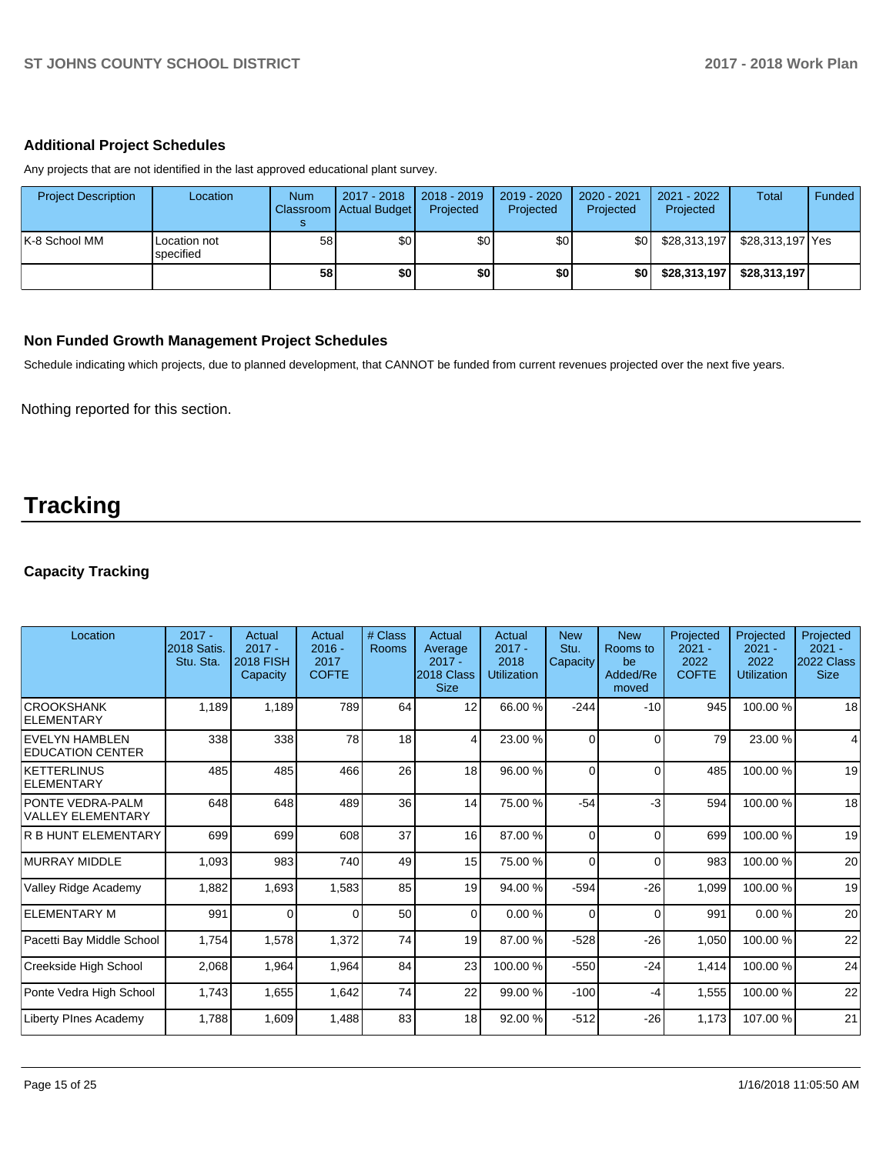### **Additional Project Schedules**

Any projects that are not identified in the last approved educational plant survey.

| <b>Project Description</b> | Location                  | <b>Num</b>      | 2017 - 2018<br>Classroom Actual Budget | 2018 - 2019<br>Projected | $2019 - 2020$<br>Projected | 2020 - 2021<br>Projected | 2021 - 2022<br>Projected | <b>Total</b>     | Funded |
|----------------------------|---------------------------|-----------------|----------------------------------------|--------------------------|----------------------------|--------------------------|--------------------------|------------------|--------|
| IK-8 School MM             | Location not<br>specified | 58 <sub>1</sub> | \$0                                    | \$0                      | \$0                        | <b>\$01</b>              | \$28,313,197             | \$28,313,197 Yes |        |
|                            |                           | 58              | \$0                                    | \$0                      | \$0                        | \$0                      | \$28,313,197             | \$28,313,197     |        |

### **Non Funded Growth Management Project Schedules**

Schedule indicating which projects, due to planned development, that CANNOT be funded from current revenues projected over the next five years.

Nothing reported for this section.

# **Tracking**

# **Capacity Tracking**

| Location                                            | $2017 -$<br><b>2018 Satis.</b><br>Stu. Sta. | Actual<br>$2017 -$<br><b>2018 FISH</b><br>Capacity | Actual<br>$2016 -$<br>2017<br><b>COFTE</b> | # Class<br>Rooms | Actual<br>Average<br>$2017 -$<br>2018 Class<br><b>Size</b> | Actual<br>$2017 -$<br>2018<br>Utilization | <b>New</b><br>Stu.<br>Capacity | <b>New</b><br>Rooms to<br>be<br>Added/Re<br>moved | Projected<br>$2021 -$<br>2022<br><b>COFTE</b> | Projected<br>$2021 -$<br>2022<br>Utilization | Projected<br>$2021 -$<br>2022 Class<br><b>Size</b> |
|-----------------------------------------------------|---------------------------------------------|----------------------------------------------------|--------------------------------------------|------------------|------------------------------------------------------------|-------------------------------------------|--------------------------------|---------------------------------------------------|-----------------------------------------------|----------------------------------------------|----------------------------------------------------|
| <b>CROOKSHANK</b><br>ELEMENTARY                     | 1,189                                       | 1,189                                              | 789                                        | 64               | 12                                                         | 66.00 %                                   | $-244$                         | $-10$                                             | 945                                           | 100.00%                                      | 18                                                 |
| <b>EVELYN HAMBLEN</b><br><b>EDUCATION CENTER</b>    | 338                                         | 338                                                | 78                                         | 18               | 4                                                          | 23.00 %                                   | $\Omega$                       | $\Omega$                                          | 79                                            | 23.00 %                                      | 4                                                  |
| <b>KETTERLINUS</b><br><b>ELEMENTARY</b>             | 485                                         | 485                                                | 466                                        | 26               | 18                                                         | 96.00 %                                   | $\Omega$                       | $\Omega$                                          | 485                                           | 100.00%                                      | 19                                                 |
| <b>PONTE VEDRA-PALM</b><br><b>VALLEY ELEMENTARY</b> | 648                                         | 648                                                | 489                                        | 36               | 14                                                         | 75.00 %                                   | $-54$                          | $-3$                                              | 594                                           | 100.00%                                      | 18                                                 |
| <b>R B HUNT ELEMENTARY</b>                          | 699                                         | 699                                                | 608                                        | 37               | 16 <sup>1</sup>                                            | 87.00 %                                   | $\Omega$                       | $\Omega$                                          | 699                                           | 100.00%                                      | 19                                                 |
| <b>MURRAY MIDDLE</b>                                | 1,093                                       | 983                                                | 740                                        | 49               | 15                                                         | 75.00 %                                   | $\Omega$                       | $\Omega$                                          | 983                                           | 100.00%                                      | 20                                                 |
| Valley Ridge Academy                                | 1,882                                       | 1,693                                              | 1,583                                      | 85               | 19                                                         | 94.00 %                                   | $-594$                         | $-26$                                             | 1,099                                         | 100.00%                                      | 19                                                 |
| <b>ELEMENTARY M</b>                                 | 991                                         | $\Omega$                                           | $\Omega$                                   | 50               | $\overline{0}$                                             | 0.00%                                     | $\Omega$                       | $\Omega$                                          | 991                                           | 0.00%                                        | 20                                                 |
| Pacetti Bay Middle School                           | 1,754                                       | 1,578                                              | 1,372                                      | 74               | 19                                                         | 87.00 %                                   | $-528$                         | $-26$                                             | 1,050                                         | 100.00%                                      | 22                                                 |
| Creekside High School                               | 2,068                                       | 1,964                                              | 1,964                                      | 84               | 23                                                         | 100.00%                                   | $-550$                         | $-24$                                             | 1,414                                         | 100.00 %                                     | 24                                                 |
| Ponte Vedra High School                             | 1,743                                       | 1,655                                              | 1,642                                      | 74               | 22                                                         | 99.00 %                                   | $-100$                         | -4                                                | 1,555                                         | 100.00%                                      | 22                                                 |
| Liberty PInes Academy                               | 1,788                                       | 1,609                                              | 1,488                                      | 83               | 18                                                         | 92.00 %                                   | $-512$                         | $-26$                                             | 1,173                                         | 107.00%                                      | 21                                                 |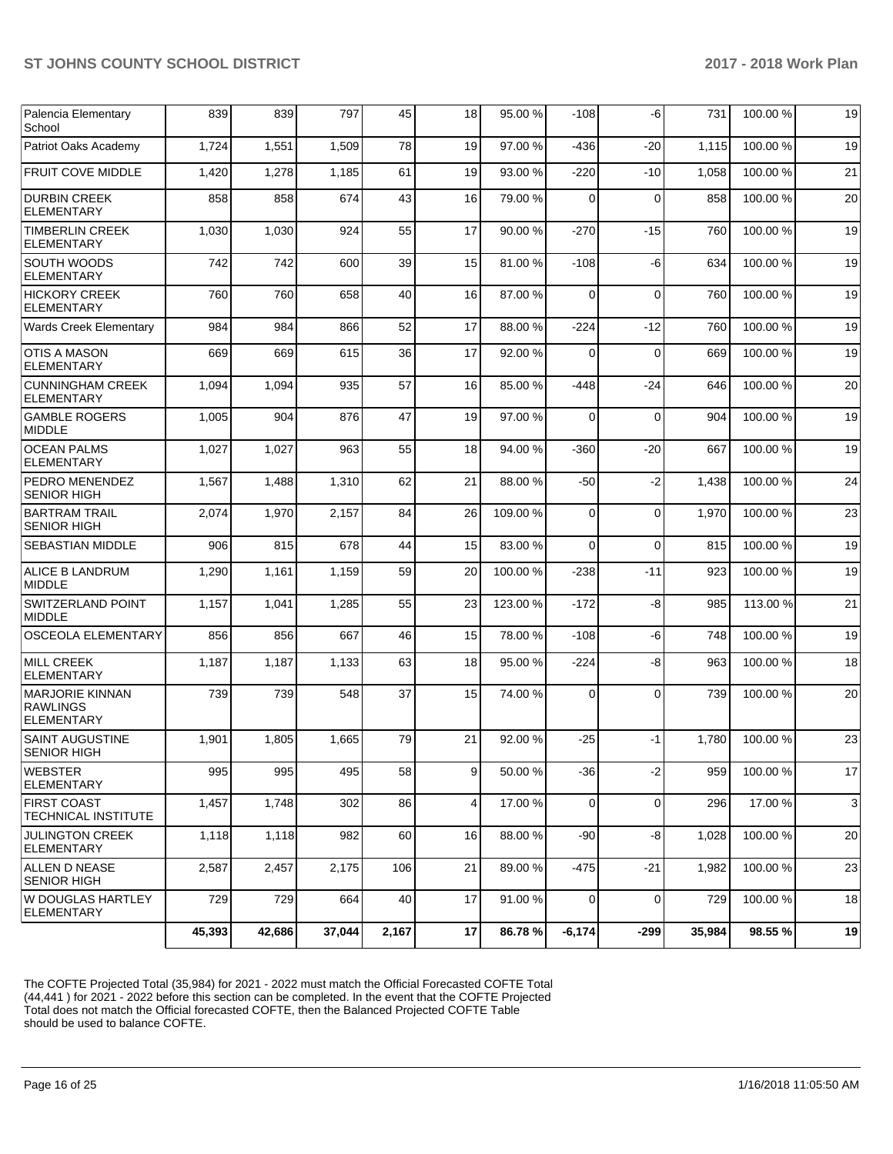|                                                                | 45,393 | 42,686 | 37,044 | 2,167 | 17 | 86.78%   | $-6,174$ | $-299$      | 35,984 | 98.55 %  | 19 |
|----------------------------------------------------------------|--------|--------|--------|-------|----|----------|----------|-------------|--------|----------|----|
| W DOUGLAS HARTLEY<br>ELEMENTARY                                | 729    | 729    | 664    | 40    | 17 | 91.00%   | 0        | $\Omega$    | 729    | 100.00%  | 18 |
| ALLEN D NEASE<br><b>SENIOR HIGH</b>                            | 2,587  | 2,457  | 2,175  | 106   | 21 | 89.00 %  | -475     | $-21$       | 1,982  | 100.00%  | 23 |
| <b>JULINGTON CREEK</b><br><b>ELEMENTARY</b>                    | 1,118  | 1,118  | 982    | 60    | 16 | 88.00 %  | -90      | -8          | 1,028  | 100.00%  | 20 |
| <b>FIRST COAST</b><br><b>TECHNICAL INSTITUTE</b>               | 1,457  | 1,748  | 302    | 86    | 4  | 17.00 %  | 0        | $\mathbf 0$ | 296    | 17.00 %  | 3  |
| <b>WEBSTER</b><br>ELEMENTARY                                   | 995    | 995    | 495    | 58    | 9  | 50.00 %  | -36      | $-2$        | 959    | 100.00%  | 17 |
| <b>SAINT AUGUSTINE</b><br><b>SENIOR HIGH</b>                   | 1,901  | 1,805  | 1,665  | 79    | 21 | 92.00 %  | $-25$    | $-1$        | 1,780  | 100.00%  | 23 |
| <b>MARJORIE KINNAN</b><br><b>RAWLINGS</b><br><b>ELEMENTARY</b> | 739    | 739    | 548    | 37    | 15 | 74.00 %  | 0        | $\Omega$    | 739    | 100.00%  | 20 |
| MILL CREEK<br><b>ELEMENTARY</b>                                | 1,187  | 1,187  | 1,133  | 63    | 18 | 95.00 %  | $-224$   | -8          | 963    | 100.00%  | 18 |
| <b>OSCEOLA ELEMENTARY</b>                                      | 856    | 856    | 667    | 46    | 15 | 78.00 %  | $-108$   | -6          | 748    | 100.00%  | 19 |
| <b>SWITZERLAND POINT</b><br>MIDDLE                             | 1,157  | 1,041  | 1,285  | 55    | 23 | 123.00 % | $-172$   | -8          | 985    | 113.00 % | 21 |
| ALICE B LANDRUM<br><b>MIDDLE</b>                               | 1,290  | 1,161  | 1,159  | 59    | 20 | 100.00%  | $-238$   | $-11$       | 923    | 100.00%  | 19 |
| <b>SEBASTIAN MIDDLE</b>                                        | 906    | 815    | 678    | 44    | 15 | 83.00 %  | $\Omega$ | $\Omega$    | 815    | 100.00%  | 19 |
| BARTRAM TRAIL<br><b>SENIOR HIGH</b>                            | 2,074  | 1,970  | 2,157  | 84    | 26 | 109.00%  | $\Omega$ | $\Omega$    | 1,970  | 100.00%  | 23 |
| PEDRO MENENDEZ<br><b>SENIOR HIGH</b>                           | 1,567  | 1,488  | 1,310  | 62    | 21 | 88.00 %  | $-50$    | $-2$        | 1,438  | 100.00%  | 24 |
| <b>OCEAN PALMS</b><br><b>ELEMENTARY</b>                        | 1,027  | 1,027  | 963    | 55    | 18 | 94.00 %  | $-360$   | $-20$       | 667    | 100.00%  | 19 |
| <b>GAMBLE ROGERS</b><br><b>MIDDLE</b>                          | 1,005  | 904    | 876    | 47    | 19 | 97.00 %  | $\Omega$ | $\Omega$    | 904    | 100.00%  | 19 |
| <b>CUNNINGHAM CREEK</b><br><b>ELEMENTARY</b>                   | 1,094  | 1,094  | 935    | 57    | 16 | 85.00 %  | $-448$   | $-24$       | 646    | 100.00%  | 20 |
| <b>OTIS A MASON</b><br><b>ELEMENTARY</b>                       | 669    | 669    | 615    | 36    | 17 | 92.00%   | 0        | $\mathbf 0$ | 669    | 100.00%  | 19 |
| Wards Creek Elementary                                         | 984    | 984    | 866    | 52    | 17 | 88.00%   | $-224$   | $-12$       | 760    | 100.00%  | 19 |
| <b>HICKORY CREEK</b><br>ELEMENTARY                             | 760    | 760    | 658    | 40    | 16 | 87.00 %  | $\Omega$ | $\Omega$    | 760    | 100.00%  | 19 |
| SOUTH WOODS<br><b>ELEMENTARY</b>                               | 742    | 742    | 600    | 39    | 15 | 81.00%   | $-108$   | -6          | 634    | 100.00%  | 19 |
| <b>TIMBERLIN CREEK</b><br><b>ELEMENTARY</b>                    | 1,030  | 1,030  | 924    | 55    | 17 | 90.00 %  | $-270$   | $-15$       | 760    | 100.00%  | 19 |
| <b>DURBIN CREEK</b><br><b>ELEMENTARY</b>                       | 858    | 858    | 674    | 43    | 16 | 79.00 %  | $\Omega$ | $\Omega$    | 858    | 100.00%  | 20 |
| <b>FRUIT COVE MIDDLE</b>                                       | 1,420  | 1,278  | 1,185  | 61    | 19 | 93.00 %  | $-220$   | $-10$       | 1,058  | 100.00%  | 21 |
| Patriot Oaks Academy                                           | 1,724  | 1,551  | 1,509  | 78    | 19 | 97.00 %  | -436     | -20         | 1,115  | 100.00%  | 19 |
| Palencia Elementary<br>School                                  | 839    | 839    | 797    | 45    | 18 | 95.00 %  | $-108$   | -6          | 731    | 100.00 % | 19 |

The COFTE Projected Total (35,984) for 2021 - 2022 must match the Official Forecasted COFTE Total (44,441 ) for 2021 - 2022 before this section can be completed. In the event that the COFTE Projected Total does not match the Official forecasted COFTE, then the Balanced Projected COFTE Table should be used to balance COFTE.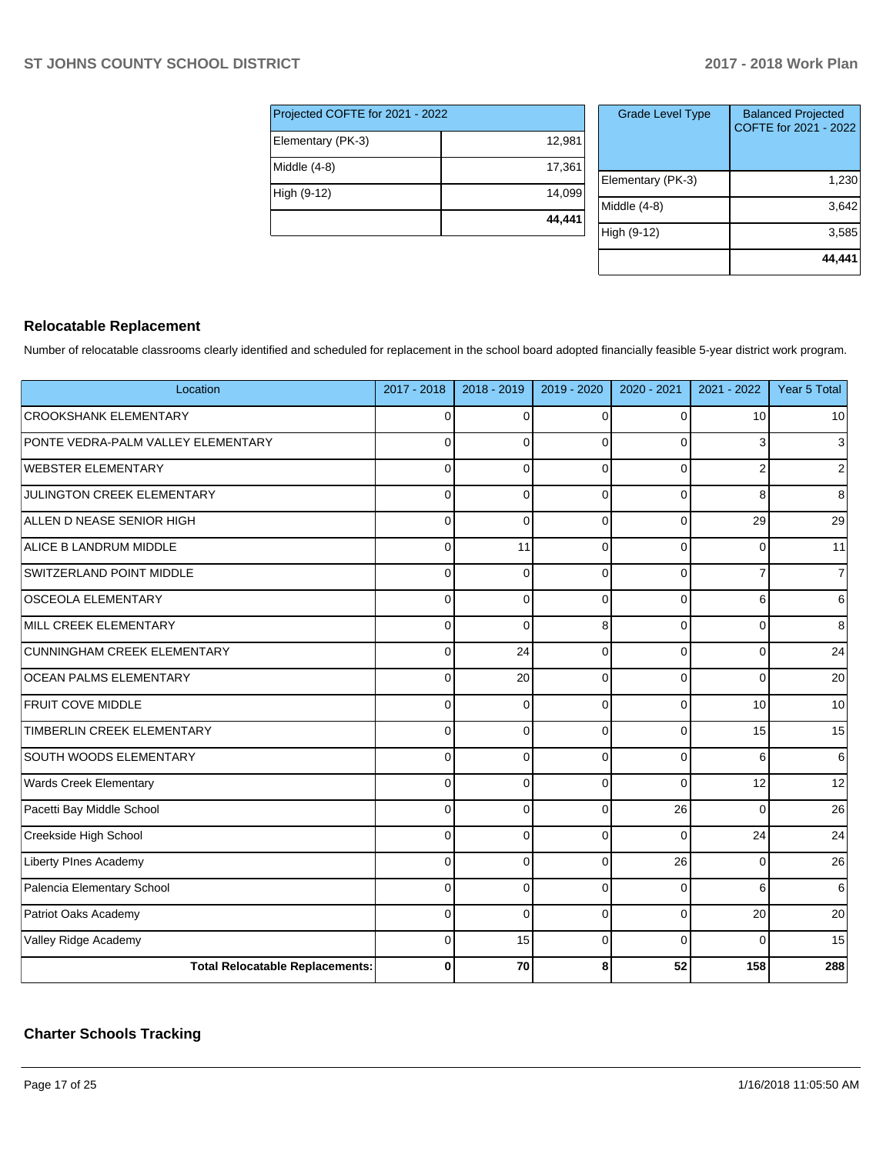| Projected COFTE for 2021 - 2022 |        |  |  |  |  |  |
|---------------------------------|--------|--|--|--|--|--|
| Elementary (PK-3)               | 12,981 |  |  |  |  |  |
| Middle (4-8)                    | 17,361 |  |  |  |  |  |
| High (9-12)                     | 14.099 |  |  |  |  |  |
|                                 | 44,441 |  |  |  |  |  |

| <b>Grade Level Type</b> | <b>Balanced Projected</b><br>COFTE for 2021 - 2022 |
|-------------------------|----------------------------------------------------|
| Elementary (PK-3)       | 1,230                                              |
| Middle $(4-8)$          | 3,642                                              |
| High (9-12)             | 3,585                                              |
|                         | 44,441                                             |

# **Relocatable Replacement**

Number of relocatable classrooms clearly identified and scheduled for replacement in the school board adopted financially feasible 5-year district work program.

| Location                               | 2017 - 2018 | 2018 - 2019 | 2019 - 2020 | 2020 - 2021 | 2021 - 2022    | Year 5 Total   |
|----------------------------------------|-------------|-------------|-------------|-------------|----------------|----------------|
| <b>CROOKSHANK ELEMENTARY</b>           | $\mathbf 0$ | $\Omega$    | $\Omega$    | $\Omega$    | 10             | 10             |
| PONTE VEDRA-PALM VALLEY ELEMENTARY     | $\Omega$    | $\Omega$    | $\Omega$    | $\Omega$    | 3              | $\mathbf{3}$   |
| <b>WEBSTER ELEMENTARY</b>              | $\Omega$    | $\Omega$    | $\Omega$    | $\Omega$    | $\overline{2}$ | $\overline{2}$ |
| <b>JULINGTON CREEK ELEMENTARY</b>      | $\Omega$    | $\Omega$    | $\Omega$    | $\Omega$    | 8              | 8              |
| ALLEN D NEASE SENIOR HIGH              | $\mathbf 0$ | $\Omega$    | $\Omega$    | $\mathbf 0$ | 29             | 29             |
| ALICE B LANDRUM MIDDLE                 | $\mathbf 0$ | 11          | $\Omega$    | $\Omega$    | $\Omega$       | 11             |
| SWITZERLAND POINT MIDDLE               | $\mathbf 0$ | $\Omega$    | $\Omega$    | $\Omega$    | 7              | $\overline{7}$ |
| <b>OSCEOLA ELEMENTARY</b>              | $\mathbf 0$ | $\Omega$    | $\Omega$    | $\Omega$    | 6              | $6\phantom{.}$ |
| MILL CREEK ELEMENTARY                  | $\Omega$    | $\Omega$    | 8           | $\Omega$    | $\Omega$       | 8              |
| <b>CUNNINGHAM CREEK ELEMENTARY</b>     | $\Omega$    | 24          | $\Omega$    | $\Omega$    | $\Omega$       | 24             |
| <b>OCEAN PALMS ELEMENTARY</b>          | $\Omega$    | 20          | 0           | $\Omega$    | 0              | 20             |
| FRUIT COVE MIDDLE                      | $\mathbf 0$ | $\Omega$    | $\Omega$    | $\Omega$    | 10             | 10             |
| TIMBERLIN CREEK ELEMENTARY             | $\mathbf 0$ | $\Omega$    | $\Omega$    | $\mathbf 0$ | 15             | 15             |
| SOUTH WOODS ELEMENTARY                 | $\Omega$    | $\Omega$    | $\Omega$    | $\Omega$    | 6              | 6              |
| <b>Wards Creek Elementary</b>          | $\Omega$    | $\Omega$    | $\Omega$    | $\Omega$    | 12             | 12             |
| Pacetti Bay Middle School              | $\Omega$    | $\Omega$    | $\Omega$    | 26          | $\Omega$       | 26             |
| Creekside High School                  | $\Omega$    | $\Omega$    | $\Omega$    | $\Omega$    | 24             | 24             |
| <b>Liberty PInes Academy</b>           | $\mathbf 0$ | $\mathbf 0$ | $\Omega$    | 26          | 0              | 26             |
| Palencia Elementary School             | $\mathbf 0$ | $\Omega$    | $\Omega$    | $\Omega$    | 6              | 6              |
| Patriot Oaks Academy                   | $\mathbf 0$ | $\Omega$    | $\Omega$    | $\Omega$    | 20             | 20             |
| Valley Ridge Academy                   | $\mathbf 0$ | 15          | $\Omega$    | $\Omega$    | $\Omega$       | 15             |
| <b>Total Relocatable Replacements:</b> | $\bf{0}$    | 70          | 8           | 52          | 158            | 288            |

# **Charter Schools Tracking**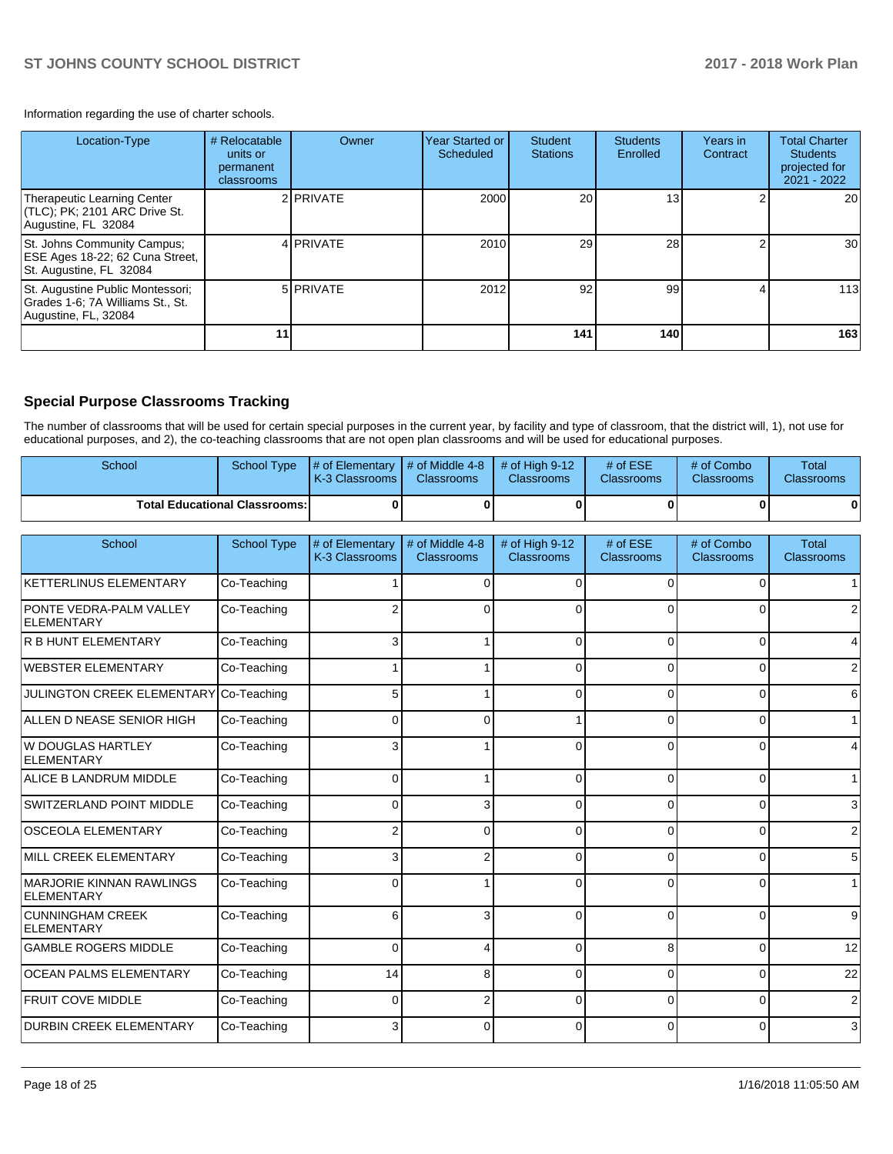Information regarding the use of charter schools.

| Location-Type                                                                                | # Relocatable<br>units or<br>permanent<br>classrooms | Owner            | Year Started or<br>Scheduled | <b>Student</b><br><b>Stations</b> | <b>Students</b><br>Enrolled | Years in<br>Contract | <b>Total Charter</b><br><b>Students</b><br>projected for<br>2021 - 2022 |
|----------------------------------------------------------------------------------------------|------------------------------------------------------|------------------|------------------------------|-----------------------------------|-----------------------------|----------------------|-------------------------------------------------------------------------|
| Therapeutic Learning Center<br>(TLC); PK; 2101 ARC Drive St.<br>Augustine, FL 32084          |                                                      | 2 <b>PRIVATE</b> | 2000                         | 20                                | 13 <sub>1</sub>             |                      | 20                                                                      |
| St. Johns Community Campus;<br>ESE Ages 18-22; 62 Cuna Street,<br>St. Augustine, FL 32084    |                                                      | 4 PRIVATE        | 2010                         | 29                                | 28                          |                      | 30 <sub>l</sub>                                                         |
| St. Augustine Public Montessori;<br>Grades 1-6; 7A Williams St., St.<br>Augustine, FL, 32084 |                                                      | 5 PRIVATE        | 2012                         | 92                                | 99                          |                      | 113                                                                     |
|                                                                                              |                                                      |                  |                              | 141                               | 140                         |                      | 163                                                                     |

# **Special Purpose Classrooms Tracking**

The number of classrooms that will be used for certain special purposes in the current year, by facility and type of classroom, that the district will, 1), not use for educational purposes, and 2), the co-teaching classrooms that are not open plan classrooms and will be used for educational purposes.

| School                               | School Type | $\sharp$ of Elementary $\sharp$ of Middle 4-8 $\sharp$ of High 9-12<br><b>IK-3 Classrooms</b> | <b>Classrooms</b> | <b>Classrooms</b> | # of $ESE$<br><b>Classrooms</b> | # of Combo<br><b>Classrooms</b> | Total<br><b>Classrooms</b> |
|--------------------------------------|-------------|-----------------------------------------------------------------------------------------------|-------------------|-------------------|---------------------------------|---------------------------------|----------------------------|
| <b>Total Educational Classrooms:</b> |             |                                                                                               |                   |                   |                                 |                                 |                            |

| School                                        | <b>School Type</b> | # of Elementary<br>K-3 Classrooms | # of Middle 4-8<br><b>Classrooms</b> | # of High 9-12<br><b>Classrooms</b> | # of ESE<br><b>Classrooms</b> | # of Combo<br>Classrooms | Total<br><b>Classrooms</b> |
|-----------------------------------------------|--------------------|-----------------------------------|--------------------------------------|-------------------------------------|-------------------------------|--------------------------|----------------------------|
| KETTERLINUS ELEMENTARY                        | Co-Teaching        |                                   | 0                                    |                                     | $\Omega$                      | $\Omega$                 |                            |
| PONTE VEDRA-PALM VALLEY<br>ELEMENTARY         | Co-Teaching        |                                   | 0                                    |                                     | $\Omega$                      | 0                        | $\overline{2}$             |
| R B HUNT ELEMENTARY                           | Co-Teaching        | 3                                 |                                      |                                     | $\Omega$                      | 0                        | $\vert 4 \vert$            |
| WEBSTER ELEMENTARY                            | Co-Teaching        |                                   |                                      | ∩                                   | $\Omega$                      | 0                        | $\overline{2}$             |
| JULINGTON CREEK ELEMENTARY Co-Teaching        |                    | 5 <sup>1</sup>                    |                                      | $\Omega$                            | $\Omega$                      | 0                        | $6 \,$                     |
| ALLEN D NEASE SENIOR HIGH                     | Co-Teaching        | 0                                 | 0                                    |                                     | $\Omega$                      | 0                        | 1                          |
| W DOUGLAS HARTLEY<br>ELEMENTARY               | Co-Teaching        | 3                                 |                                      | ∩                                   | $\Omega$                      | 0                        | $\overline{4}$             |
| ALICE B LANDRUM MIDDLE                        | Co-Teaching        | $\Omega$                          |                                      | $\Omega$                            | $\Omega$                      | 0                        | 1 <sup>1</sup>             |
| SWITZERLAND POINT MIDDLE                      | Co-Teaching        | 0                                 | 3                                    | $\Omega$                            | 0                             | 0                        | $\mathbf{3}$               |
| <b>OSCEOLA ELEMENTARY</b>                     | Co-Teaching        | $\overline{2}$                    | $\Omega$                             | $\Omega$                            | $\Omega$                      | $\Omega$                 | $\overline{2}$             |
| MILL CREEK ELEMENTARY                         | Co-Teaching        | 3                                 | 2                                    | $\Omega$                            | $\Omega$                      | 0                        | $5\overline{)}$            |
| <b>MARJORIE KINNAN RAWLINGS</b><br>ELEMENTARY | Co-Teaching        | 0                                 |                                      | $\Omega$                            | 0                             | 0                        | $\mathbf{1}$               |
| CUNNINGHAM CREEK<br><b>ELEMENTARY</b>         | Co-Teaching        | 6                                 | 3                                    | $\Omega$                            | $\Omega$                      | 0                        | 9                          |
| <b>GAMBLE ROGERS MIDDLE</b>                   | Co-Teaching        | $\Omega$                          | 4                                    | $\Omega$                            | 8                             | $\Omega$                 | 12                         |
| <b>OCEAN PALMS ELEMENTARY</b>                 | Co-Teaching        | 14                                | 8                                    | $\Omega$                            | $\Omega$                      | 0                        | 22                         |
| <b>FRUIT COVE MIDDLE</b>                      | Co-Teaching        | 0                                 | 2                                    | $\Omega$                            | $\Omega$                      | $\Omega$                 | $\overline{2}$             |
| <b>DURBIN CREEK ELEMENTARY</b>                | Co-Teaching        | 3                                 | $\Omega$                             |                                     | 0                             | 0                        | 3                          |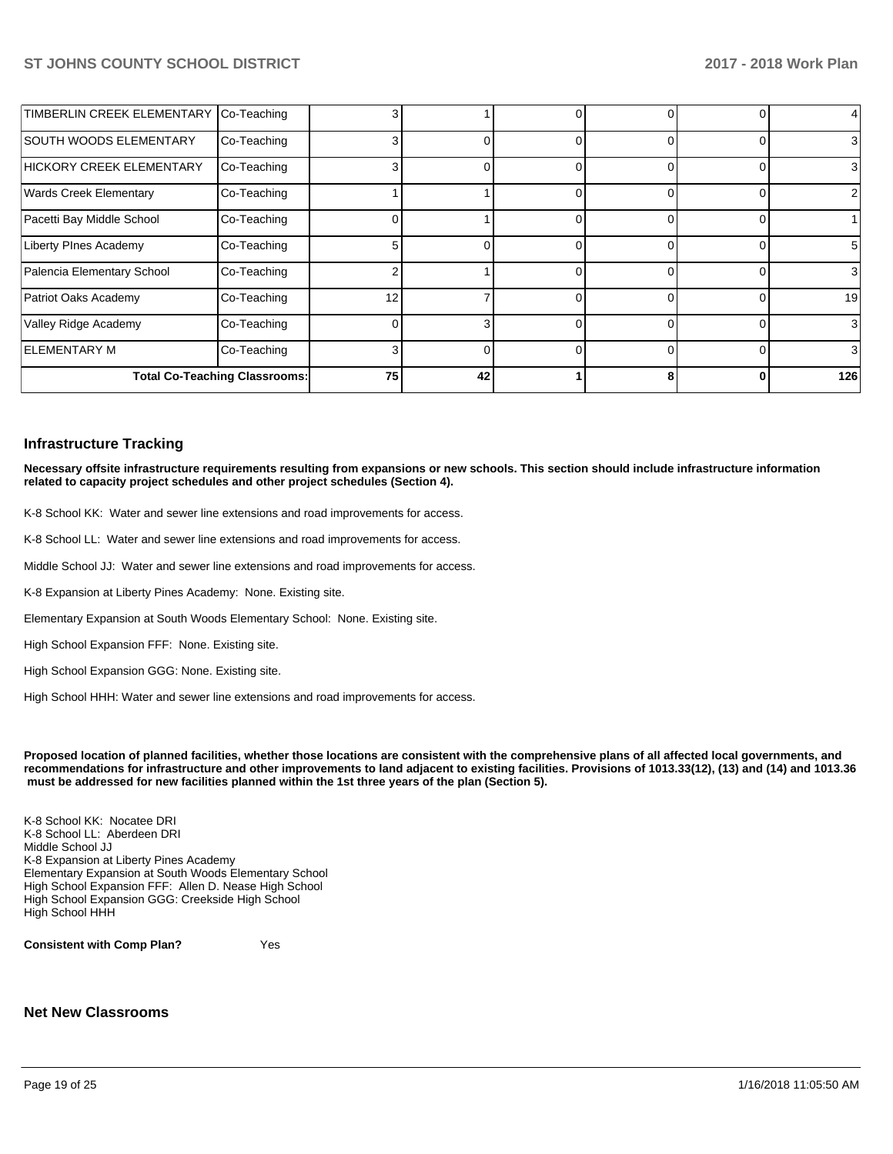| TIMBERLIN CREEK ELEMENTARY Co-Teaching |                                      |    |    |   | 0              |                 |
|----------------------------------------|--------------------------------------|----|----|---|----------------|-----------------|
| <b>SOUTH WOODS ELEMENTARY</b>          | Co-Teaching                          |    | 0  |   | $\Omega$       | 3               |
| <b>HICKORY CREEK ELEMENTARY</b>        | Co-Teaching                          |    | 0  |   | 0              | 3               |
| <b>Wards Creek Elementary</b>          | Co-Teaching                          |    |    |   | 0              | $\overline{2}$  |
| Pacetti Bay Middle School              | Co-Teaching                          |    |    |   | $\Omega$       |                 |
| <b>Liberty PInes Academy</b>           | Co-Teaching                          |    | 0  | C | $\Omega$       | $5\overline{)}$ |
| Palencia Elementary School             | Co-Teaching                          |    |    |   | $\overline{0}$ | $\mathbf{3}$    |
| Patriot Oaks Academy                   | Co-Teaching                          | 12 |    |   | $\Omega$       | 19              |
| Valley Ridge Academy                   | Co-Teaching                          |    | 31 |   | $\Omega$       | $\mathbf{3}$    |
| <b>ELEMENTARY M</b>                    | Co-Teaching                          |    | 01 |   | $\overline{0}$ | $\mathbf{3}$    |
|                                        | <b>Total Co-Teaching Classrooms:</b> | 75 | 42 |   | $\mathbf{0}$   | 126             |

#### **Infrastructure Tracking**

**Necessary offsite infrastructure requirements resulting from expansions or new schools. This section should include infrastructure information related to capacity project schedules and other project schedules (Section 4).** 

K-8 School KK: Water and sewer line extensions and road improvements for access.

K-8 School LL: Water and sewer line extensions and road improvements for access.

Middle School JJ: Water and sewer line extensions and road improvements for access.

K-8 Expansion at Liberty Pines Academy: None. Existing site.

Elementary Expansion at South Woods Elementary School: None. Existing site.

High School Expansion FFF: None. Existing site.

High School Expansion GGG: None. Existing site.

High School HHH: Water and sewer line extensions and road improvements for access.

**Proposed location of planned facilities, whether those locations are consistent with the comprehensive plans of all affected local governments, and recommendations for infrastructure and other improvements to land adjacent to existing facilities. Provisions of 1013.33(12), (13) and (14) and 1013.36 must be addressed for new facilities planned within the 1st three years of the plan (Section 5).** 

K-8 School KK: Nocatee DRI K-8 School LL: Aberdeen DRI Middle School JJ K-8 Expansion at Liberty Pines Academy Elementary Expansion at South Woods Elementary School High School Expansion FFF: Allen D. Nease High School High School Expansion GGG: Creekside High School High School HHH

**Consistent with Comp Plan?** Yes

**Net New Classrooms**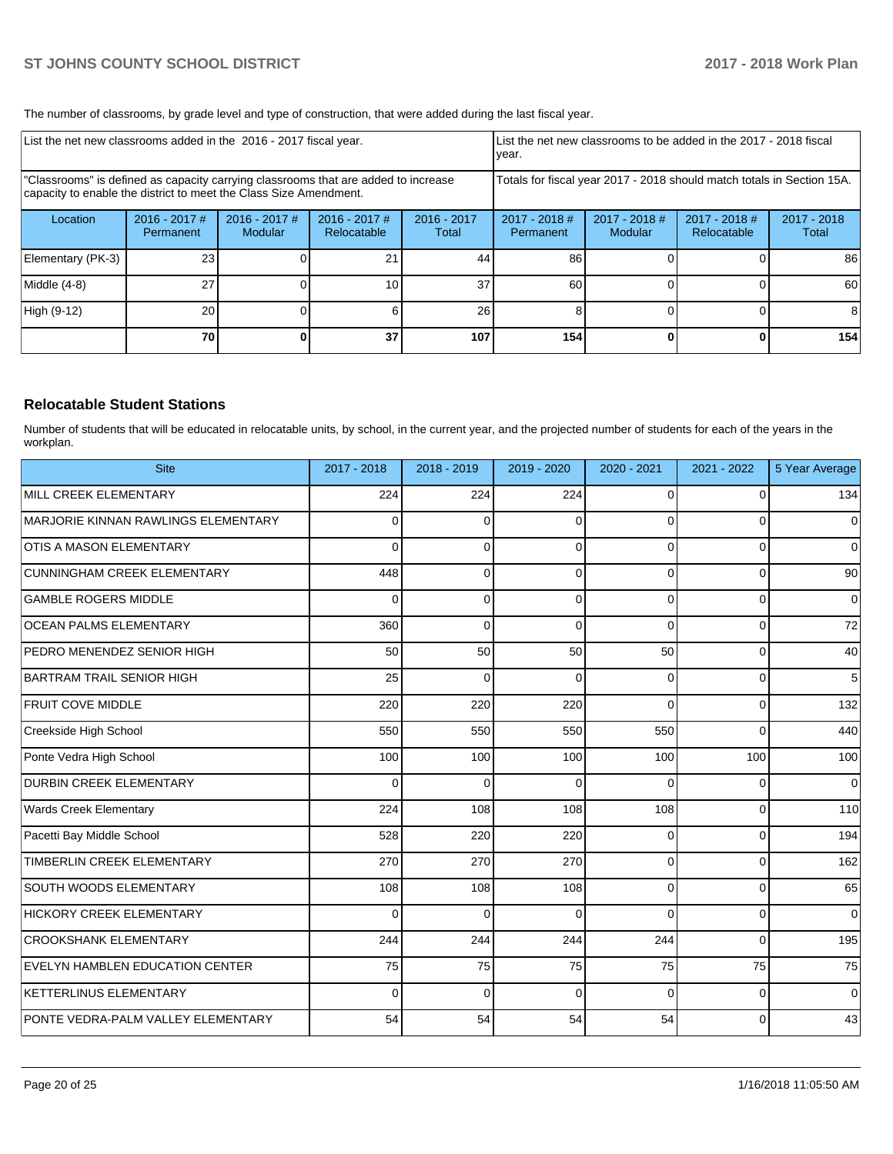The number of classrooms, by grade level and type of construction, that were added during the last fiscal year.

| List the net new classrooms added in the 2016 - 2017 fiscal year. |                                                                                                                                                         |                                   |                              | List the net new classrooms to be added in the 2017 - 2018 fiscal<br>year. |                                                                        |                                 |                              |                      |  |
|-------------------------------------------------------------------|---------------------------------------------------------------------------------------------------------------------------------------------------------|-----------------------------------|------------------------------|----------------------------------------------------------------------------|------------------------------------------------------------------------|---------------------------------|------------------------------|----------------------|--|
|                                                                   | "Classrooms" is defined as capacity carrying classrooms that are added to increase<br>capacity to enable the district to meet the Class Size Amendment. |                                   |                              |                                                                            | Totals for fiscal year 2017 - 2018 should match totals in Section 15A. |                                 |                              |                      |  |
| Location                                                          | $2016 - 2017$ #<br>Permanent                                                                                                                            | $2016 - 2017$ #<br><b>Modular</b> | 2016 - 2017 #<br>Relocatable | $2016 - 2017$<br>Total                                                     | $2017 - 2018$ #<br>Permanent                                           | 2017 - 2018 #<br><b>Modular</b> | 2017 - 2018 #<br>Relocatable | 2017 - 2018<br>Total |  |
| Elementary (PK-3)                                                 | 23                                                                                                                                                      |                                   | 21                           | 44                                                                         | 86                                                                     |                                 |                              | 86                   |  |
| Middle (4-8)                                                      | 27                                                                                                                                                      |                                   | 10                           | 37                                                                         | 60                                                                     |                                 |                              | 60                   |  |
| High (9-12)                                                       | 20                                                                                                                                                      |                                   |                              | 26                                                                         | 8                                                                      |                                 |                              | 8                    |  |
|                                                                   | 70                                                                                                                                                      |                                   | 37                           | 107                                                                        | 154                                                                    |                                 |                              | 154                  |  |

### **Relocatable Student Stations**

Number of students that will be educated in relocatable units, by school, in the current year, and the projected number of students for each of the years in the workplan.

| <b>Site</b>                         | 2017 - 2018 | 2018 - 2019 | 2019 - 2020 | 2020 - 2021 | 2021 - 2022 | 5 Year Average |
|-------------------------------------|-------------|-------------|-------------|-------------|-------------|----------------|
| MILL CREEK ELEMENTARY               | 224         | 224         | 224         | $\Omega$    | $\Omega$    | 134            |
| MARJORIE KINNAN RAWLINGS ELEMENTARY | $\Omega$    | $\Omega$    | $\Omega$    | $\Omega$    | $\Omega$    | 0              |
| <b>OTIS A MASON ELEMENTARY</b>      | $\Omega$    | $\Omega$    | $\Omega$    | $\Omega$    | $\Omega$    | $\overline{0}$ |
| CUNNINGHAM CREEK ELEMENTARY         | 448         | $\Omega$    | $\Omega$    | $\Omega$    | $\Omega$    | 90             |
| <b>GAMBLE ROGERS MIDDLE</b>         | $\Omega$    | $\Omega$    | $\Omega$    | $\Omega$    | $\Omega$    | 0              |
| OCEAN PALMS ELEMENTARY              | 360         | $\Omega$    | $\Omega$    | $\Omega$    | $\Omega$    | 72             |
| PEDRO MENENDEZ SENIOR HIGH          | 50          | 50          | 50          | 50          | $\Omega$    | 40             |
| BARTRAM TRAIL SENIOR HIGH           | 25          | 0           | $\Omega$    | $\Omega$    | $\Omega$    | 5              |
| <b>FRUIT COVE MIDDLE</b>            | 220         | 220         | 220         | $\Omega$    | 0           | 132            |
| Creekside High School               | 550         | 550         | 550         | 550         | $\Omega$    | 440            |
| Ponte Vedra High School             | 100         | 100         | 100         | 100         | 100         | 100            |
| <b>DURBIN CREEK ELEMENTARY</b>      | $\Omega$    | $\Omega$    | $\Omega$    | $\Omega$    | $\Omega$    | $\Omega$       |
| <b>Wards Creek Elementary</b>       | 224         | 108         | 108         | 108         | $\Omega$    | 110            |
| Pacetti Bay Middle School           | 528         | 220         | 220         | $\Omega$    | $\Omega$    | 194            |
| TIMBERLIN CREEK ELEMENTARY          | 270         | 270         | 270         | $\Omega$    | $\Omega$    | 162            |
| SOUTH WOODS ELEMENTARY              | 108         | 108         | 108         | $\Omega$    | $\Omega$    | 65             |
| <b>HICKORY CREEK ELEMENTARY</b>     | $\Omega$    | $\Omega$    | $\Omega$    | $\Omega$    | $\Omega$    | $\Omega$       |
| <b>CROOKSHANK ELEMENTARY</b>        | 244         | 244         | 244         | 244         | $\Omega$    | 195            |
| EVELYN HAMBLEN EDUCATION CENTER     | 75          | 75          | 75          | 75          | 75          | 75             |
| <b>KETTERLINUS ELEMENTARY</b>       | $\Omega$    | $\Omega$    | $\Omega$    | $\Omega$    | $\Omega$    | $\overline{0}$ |
| PONTE VEDRA-PALM VALLEY ELEMENTARY  | 54          | 54          | 54          | 54          | $\Omega$    | 43             |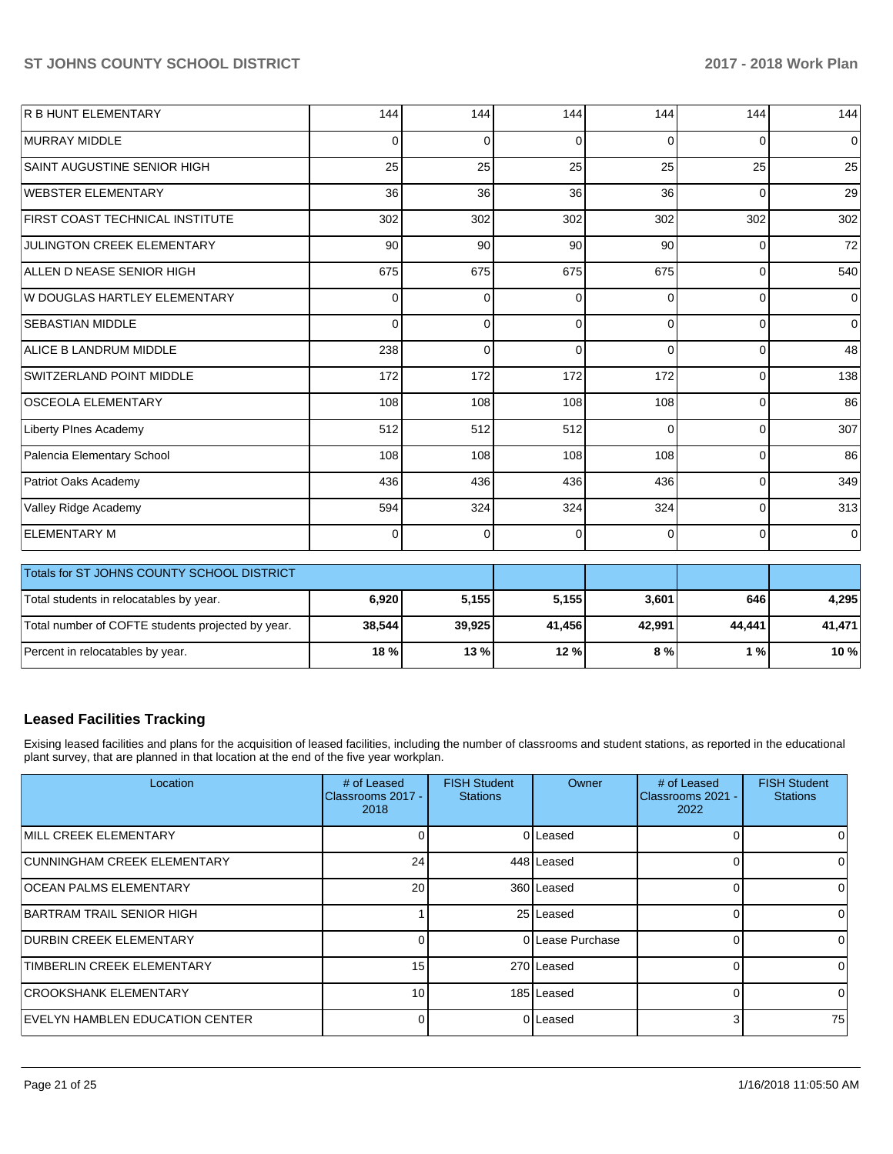| <b>R B HUNT ELEMENTARY</b>             | 144      | 144      | 144      | 144      | 144            | 144            |
|----------------------------------------|----------|----------|----------|----------|----------------|----------------|
| <b>MURRAY MIDDLE</b>                   | 0        | 0        | 0        | $\Omega$ | $\Omega$       | $\overline{0}$ |
| SAINT AUGUSTINE SENIOR HIGH            | 25       | 25       | 25       | 25       | 25             | 25             |
| WEBSTER ELEMENTARY                     | 36       | 36       | 36       | 36       | $\Omega$       | 29             |
| <b>FIRST COAST TECHNICAL INSTITUTE</b> | 302      | 302      | 302      | 302      | 302            | 302            |
| <b>JULINGTON CREEK ELEMENTARY</b>      | 90       | 90       | 90       | 90       | $\Omega$       | 72             |
| ALLEN D NEASE SENIOR HIGH              | 675      | 675      | 675      | 675      | $\overline{0}$ | 540            |
| W DOUGLAS HARTLEY ELEMENTARY           | $\Omega$ | $\Omega$ | $\Omega$ | $\Omega$ | $\Omega$       | $\overline{0}$ |
| <b>SEBASTIAN MIDDLE</b>                | $\Omega$ | $\Omega$ | $\Omega$ | $\Omega$ | $\Omega$       | $\overline{0}$ |
| ALICE B LANDRUM MIDDLE                 | 238      | $\Omega$ | $\Omega$ | $\Omega$ | $\mathbf 0$    | 48             |
| SWITZERLAND POINT MIDDLE               | 172      | 172      | 172      | 172      | 0              | 138            |
| OSCEOLA ELEMENTARY                     | 108      | 108      | 108      | 108      | $\Omega$       | 86             |
| Liberty PInes Academy                  | 512      | 512      | 512      | $\Omega$ | 0              | 307            |
| Palencia Elementary School             | 108      | 108      | 108      | 108      | $\Omega$       | 86             |
| Patriot Oaks Academy                   | 436      | 436      | 436      | 436      | $\overline{0}$ | 349            |
| Valley Ridge Academy                   | 594      | 324      | 324      | 324      | $\Omega$       | 313            |
| <b>ELEMENTARY M</b>                    | 0        | 0        | 0        | $\Omega$ | $\overline{0}$ | $\overline{0}$ |

| <b>Totals for ST JOHNS COUNTY SCHOOL DISTRICT</b> |        |        |        |        |        |        |
|---------------------------------------------------|--------|--------|--------|--------|--------|--------|
| Total students in relocatables by year.           | 6,920  | 5.155  | 5.155  | 3,601  | 646 l  | 4.295  |
| Total number of COFTE students projected by year. | 38.544 | 39,925 | 41.456 | 42.991 | 44.441 | 41,471 |
| Percent in relocatables by year.                  | 18 %   | 13 %   | 12%    | 8%     | 1%     | 10 %   |

# **Leased Facilities Tracking**

Exising leased facilities and plans for the acquisition of leased facilities, including the number of classrooms and student stations, as reported in the educational plant survey, that are planned in that location at the end of the five year workplan.

| Location                           | # of Leased<br>Classrooms 2017 -<br>2018 | <b>FISH Student</b><br><b>Stations</b> | Owner            | # of Leased<br><b>IClassrooms 2021 -</b><br>2022 | <b>FISH Student</b><br><b>Stations</b> |
|------------------------------------|------------------------------------------|----------------------------------------|------------------|--------------------------------------------------|----------------------------------------|
| <b>IMILL CREEK ELEMENTARY</b>      |                                          |                                        | 0 Leased         |                                                  | 0                                      |
| <b>CUNNINGHAM CREEK ELEMENTARY</b> | 24                                       |                                        | 448 Leased       |                                                  | 0                                      |
| <b>OCEAN PALMS ELEMENTARY</b>      | 20                                       |                                        | 360 Leased       |                                                  | 0                                      |
| IBARTRAM TRAIL SENIOR HIGH         |                                          |                                        | 25 Leased        |                                                  | $\Omega$                               |
| <b>DURBIN CREEK ELEMENTARY</b>     | 0                                        |                                        | 0 Lease Purchase |                                                  | $\Omega$                               |
| TIMBERLIN CREEK ELEMENTARY         | 15                                       |                                        | 270 Leased       |                                                  | 0                                      |
| <b>CROOKSHANK ELEMENTARY</b>       | 10 <sup>1</sup>                          |                                        | 185 Leased       |                                                  | 0                                      |
| EVELYN HAMBLEN EDUCATION CENTER    | 0                                        |                                        | 0 Leased         | 3                                                | 75                                     |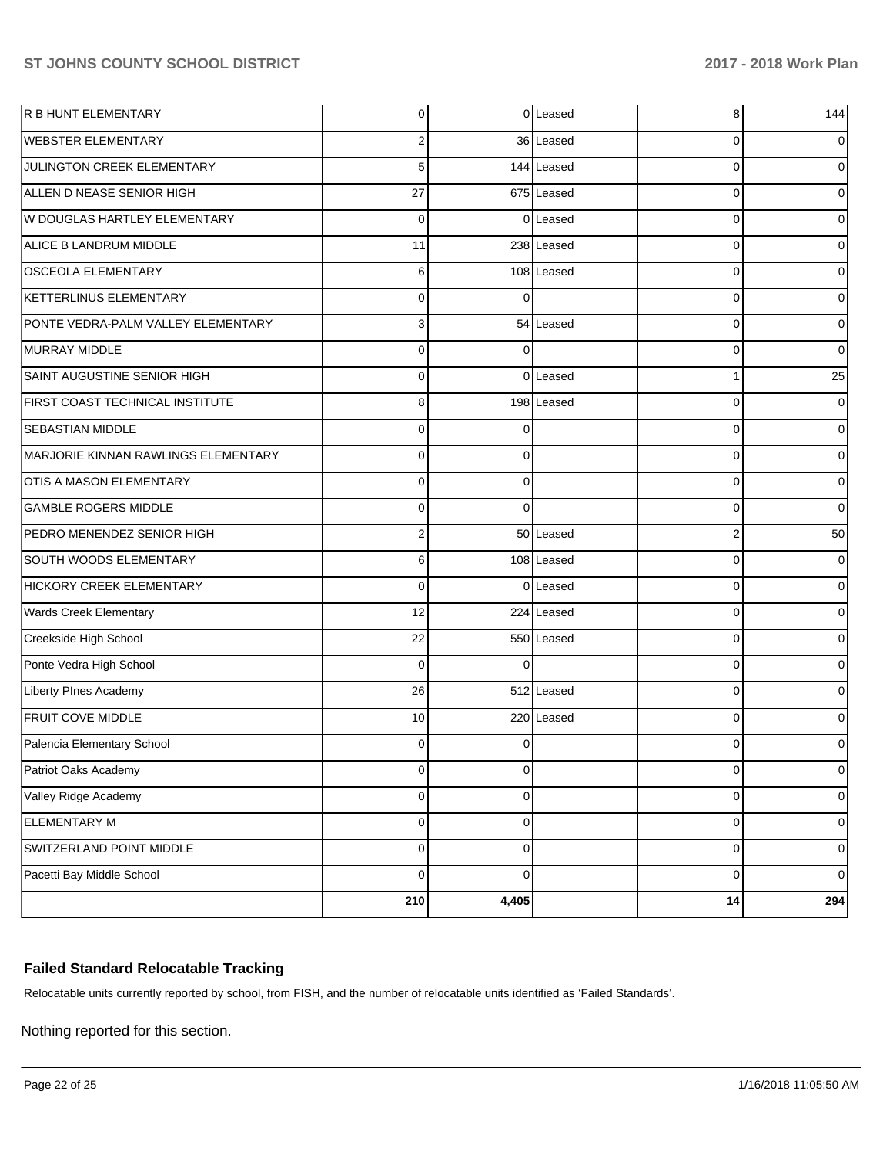| <b>R B HUNT ELEMENTARY</b>          | $\overline{0}$ |             | 0 Leased   | 8              | 144      |
|-------------------------------------|----------------|-------------|------------|----------------|----------|
| <b>WEBSTER ELEMENTARY</b>           | 2              |             | 36 Leased  | 0              | 0        |
| JULINGTON CREEK ELEMENTARY          | 5              |             | 144 Leased | $\Omega$       | 0        |
| ALLEN D NEASE SENIOR HIGH           | 27             |             | 675 Leased | 0              | 0        |
| W DOUGLAS HARTLEY ELEMENTARY        | $\Omega$       |             | 0 Leased   | 0              | $\Omega$ |
| ALICE B LANDRUM MIDDLE              | 11             |             | 238 Leased | 0              | 0        |
| <b>OSCEOLA ELEMENTARY</b>           | 6              |             | 108 Leased | 0              | 0        |
| KETTERLINUS ELEMENTARY              | $\mathbf 0$    | $\Omega$    |            | 0              | 0        |
| PONTE VEDRA-PALM VALLEY ELEMENTARY  | 3              |             | 54 Leased  | $\Omega$       | 0        |
| MURRAY MIDDLE                       | $\mathbf 0$    | 0           |            | 0              | 0        |
| SAINT AUGUSTINE SENIOR HIGH         | $\Omega$       |             | 0 Leased   | 1              | 25       |
| FIRST COAST TECHNICAL INSTITUTE     | 8              |             | 198 Leased | 0              | 0        |
| <b>SEBASTIAN MIDDLE</b>             | $\mathbf 0$    | ∩           |            | 0              | 0        |
| MARJORIE KINNAN RAWLINGS ELEMENTARY | $\mathbf 0$    | $\Omega$    |            | 0              | 0        |
| OTIS A MASON ELEMENTARY             | $\Omega$       | $\Omega$    |            | 0              | 0        |
| <b>GAMBLE ROGERS MIDDLE</b>         | $\mathbf 0$    | $\Omega$    |            | 0              | 0        |
| PEDRO MENENDEZ SENIOR HIGH          | $\overline{2}$ |             | 50 Leased  | $\overline{2}$ | 50       |
| SOUTH WOODS ELEMENTARY              | 6              |             | 108 Leased | 0              | 0        |
| HICKORY CREEK ELEMENTARY            | $\Omega$       |             | 0 Leased   | 0              | $\Omega$ |
| Wards Creek Elementary              | 12             |             | 224 Leased | 0              | 0        |
| Creekside High School               | 22             |             | 550 Leased | 0              | $\Omega$ |
| Ponte Vedra High School             | $\Omega$       | $\Omega$    |            | $\Omega$       | 0        |
| Liberty PInes Academy               | 26             |             | 512 Leased | 0              | $\Omega$ |
| <b>FRUIT COVE MIDDLE</b>            | 10             |             | 220 Leased | 0              | 0        |
| Palencia Elementary School          | $\mathbf 0$    | ∩           |            | 0              | 0        |
| Patriot Oaks Academy                | $\pmb{0}$      | 0           |            | 0              | 0        |
| Valley Ridge Academy                | $\pmb{0}$      | 0           |            | 0              | 0        |
| <b>ELEMENTARY M</b>                 | $\mathbf 0$    | $\mathbf 0$ |            | 0              | 0        |
| SWITZERLAND POINT MIDDLE            | $\mathbf 0$    | 0           |            | 0              | 0        |
| Pacetti Bay Middle School           | $\mathbf 0$    | 0           |            | 0              | 0        |
|                                     | 210            | 4,405       |            | 14             | 294      |

## **Failed Standard Relocatable Tracking**

Relocatable units currently reported by school, from FISH, and the number of relocatable units identified as 'Failed Standards'.

Nothing reported for this section.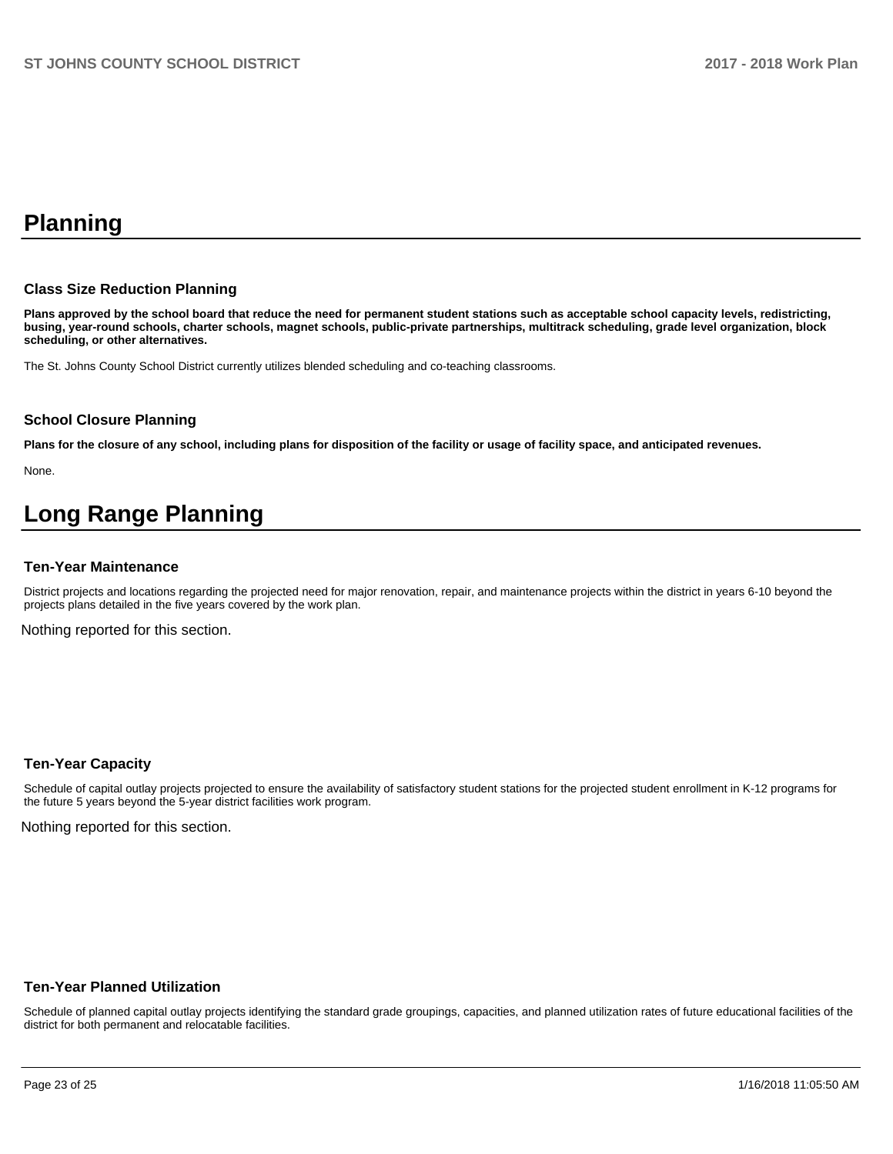# **Planning**

#### **Class Size Reduction Planning**

**Plans approved by the school board that reduce the need for permanent student stations such as acceptable school capacity levels, redistricting, busing, year-round schools, charter schools, magnet schools, public-private partnerships, multitrack scheduling, grade level organization, block scheduling, or other alternatives.**

The St. Johns County School District currently utilizes blended scheduling and co-teaching classrooms.

#### **School Closure Planning**

**Plans for the closure of any school, including plans for disposition of the facility or usage of facility space, and anticipated revenues.** 

None.

# **Long Range Planning**

#### **Ten-Year Maintenance**

District projects and locations regarding the projected need for major renovation, repair, and maintenance projects within the district in years 6-10 beyond the projects plans detailed in the five years covered by the work plan.

Nothing reported for this section.

#### **Ten-Year Capacity**

Schedule of capital outlay projects projected to ensure the availability of satisfactory student stations for the projected student enrollment in K-12 programs for the future 5 years beyond the 5-year district facilities work program.

Nothing reported for this section.

#### **Ten-Year Planned Utilization**

Schedule of planned capital outlay projects identifying the standard grade groupings, capacities, and planned utilization rates of future educational facilities of the district for both permanent and relocatable facilities.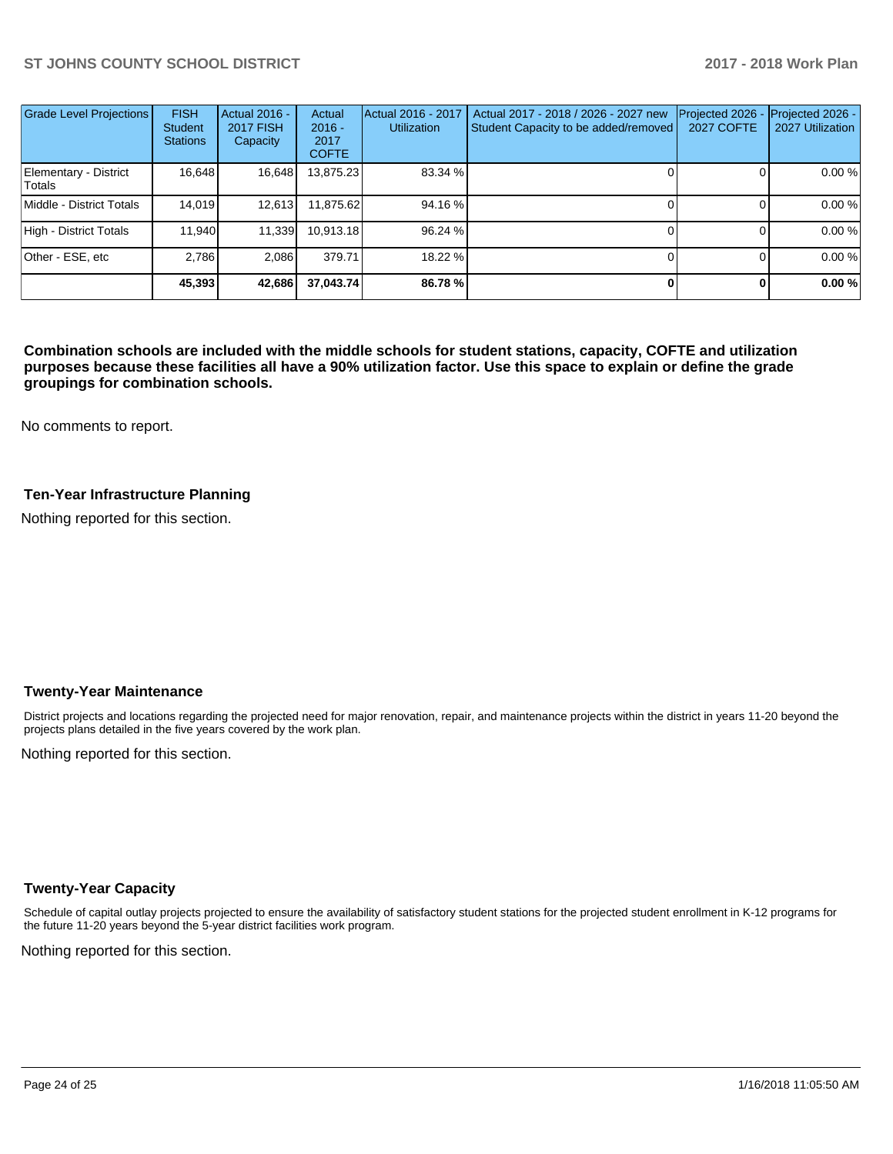| <b>Grade Level Projections</b>  | <b>FISH</b><br><b>Student</b><br><b>Stations</b> | Actual 2016 -<br><b>2017 FISH</b><br>Capacity | Actual<br>$2016 -$<br>2017<br><b>COFTE</b> | Actual 2016 - 2017<br><b>Utilization</b> | Actual 2017 - 2018 / 2026 - 2027 new<br>Student Capacity to be added/removed | Projected 2026<br><b>2027 COFTE</b> | Projected 2026 -<br>2027 Utilization |
|---------------------------------|--------------------------------------------------|-----------------------------------------------|--------------------------------------------|------------------------------------------|------------------------------------------------------------------------------|-------------------------------------|--------------------------------------|
| Elementary - District<br>Totals | 16,648                                           | 16,648                                        | 13,875.23                                  | 83.34 %                                  |                                                                              |                                     | 0.00%                                |
| Middle - District Totals        | 14.019                                           | 12,613                                        | 11,875.62                                  | 94.16 %                                  |                                                                              |                                     | 0.00%                                |
| High - District Totals          | 11,940                                           | 11,339                                        | 10,913.18                                  | 96.24 %                                  |                                                                              |                                     | 0.00 %                               |
| Other - ESE, etc                | 2.786                                            | 2.086                                         | 379.71                                     | 18.22 %                                  |                                                                              |                                     | 0.00%                                |
|                                 | 45,393                                           | 42,686                                        | 37.043.74                                  | 86.78%                                   |                                                                              |                                     | 0.00%                                |

**Combination schools are included with the middle schools for student stations, capacity, COFTE and utilization purposes because these facilities all have a 90% utilization factor. Use this space to explain or define the grade groupings for combination schools.** 

No comments to report.

#### **Ten-Year Infrastructure Planning**

Nothing reported for this section.

#### **Twenty-Year Maintenance**

District projects and locations regarding the projected need for major renovation, repair, and maintenance projects within the district in years 11-20 beyond the projects plans detailed in the five years covered by the work plan.

Nothing reported for this section.

#### **Twenty-Year Capacity**

Schedule of capital outlay projects projected to ensure the availability of satisfactory student stations for the projected student enrollment in K-12 programs for the future 11-20 years beyond the 5-year district facilities work program.

Nothing reported for this section.